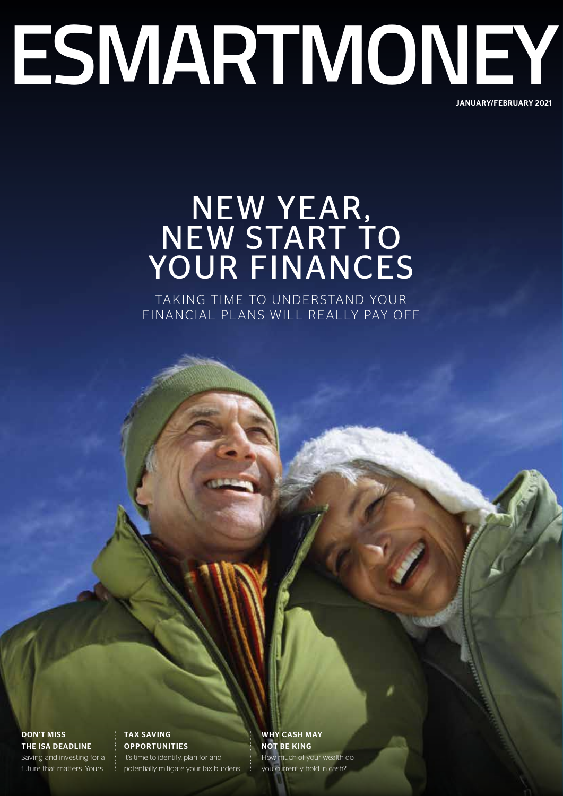# **ESMARTMONEY** JANUARY/FEBRUARY 2021

# NEW YEAR, NEW START TO YOUR FINANCES

TAKING TIME TO UNDERSTAND YOUR FINANCIAL PLANS WILL REALLY PAY OFF

DON'T MISS THE ISA DEADLINE

Saving and investing for a future that matters. Yours.

TAX SAVING **OPPORTUNITIES** It's time to identify, plan for and potentially mitigate your tax burdens WHY CASH MAY NOT BE KING How much of your wealth do you currently hold in cash?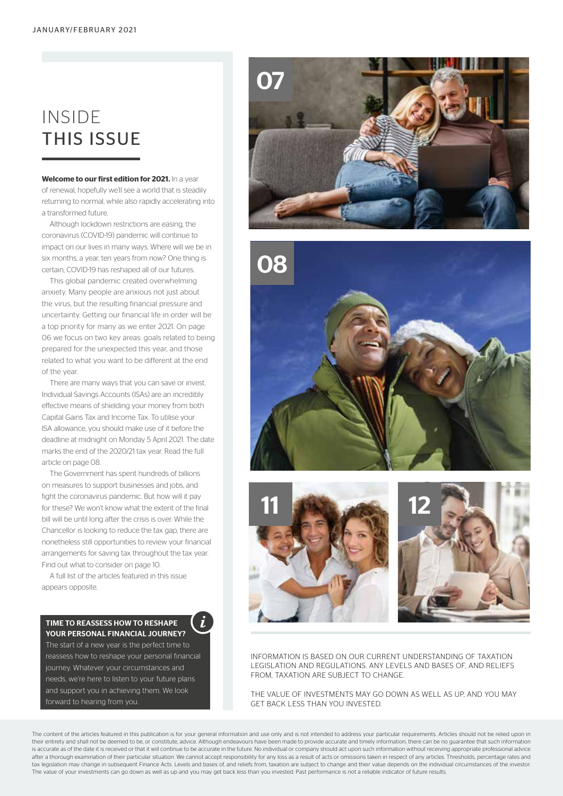# INSIDE THIS ISSUE

**Welcome to our first edition for 2021.** In a year of renewal, hopefully we'll see a world that is steadily returning to normal, while also rapidly accelerating into a transformed future.

Although lockdown restrictions are easing, the coronavirus (COVID-19) pandemic will continue to impact on our lives in many ways. Where will we be in six months, a year, ten years from now? One thing is certain, COVID-19 has reshaped all of our futures.

This global pandemic created overwhelming anxiety. Many people are anxious not just about the virus, but the resulting financial pressure and uncertainty. Getting our financial life in order will be a top priority for many as we enter 2021. On page 06 we focus on two key areas: goals related to being prepared for the unexpected this year, and those related to what you want to be different at the end of the year.

There are many ways that you can save or invest. Individual Savings Accounts (ISAs) are an incredibly effective means of shielding your money from both Capital Gains Tax and Income Tax. To utilise your ISA allowance, you should make use of it before the deadline at midnight on Monday 5 April 2021. The date marks the end of the 2020/21 tax year. Read the full article on page 08.

The Government has spent hundreds of billions on measures to support businesses and jobs, and fight the coronavirus pandemic. But how will it pay for these? We won't know what the extent of the final bill will be until long after the crisis is over. While the Chancellor is looking to reduce the tax gap, there are nonetheless still opportunities to review your financial arrangements for saving tax throughout the tax year. Find out what to consider on page 10.

A full list of the articles featured in this issue appears opposite.

# TIME TO REASSESS HOW TO RESHAPE YOUR PERSONAL FINANCIAL JOURNEY?

The start of a new year is the perfect time to reassess how to reshape your personal financial journey. Whatever your circumstances and needs, we're here to listen to your future plans and support you in achieving them. We look forward to hearing from you.







INFORMATION IS BASED ON OUR CURRENT UNDERSTANDING OF TAXATION LEGISLATION AND REGULATIONS. ANY LEVELS AND BASES OF, AND RELIEFS FROM, TAXATION ARE SUBJECT TO CHANGE.

THE VALUE OF INVESTMENTS MAY GO DOWN AS WELL AS UP, AND YOU MAY GET BACK LESS THAN YOU INVESTED.

The content of the articles featured in this publication is for your general information and use only and is not intended to address your particular requirements. Articles should not be relied upon in their entirety and shall not be deemed to be, or constitute, advice. Although endeavours have been made to provide accurate and timely information, there can be no quarantee that such information is accurate as of the date it is received or that it will continue to be accurate in the future. No individual or company should act upon such information without receiving appropriate professional advice after a thorough examination of their particular situation. We cannot accept responsibility for any loss as a result of acts or omissions taken in respect of any articles. Thresholds, percentage rates and tax legislation may change in subsequent Finance Acts. Levels and bases of, and reliefs from, taxation are subject to change and their value depends on the individual circumstances of the investor. The value of your investments can go down as well as up and you may get back less than you invested. Past performance is not a reliable indicator of future results.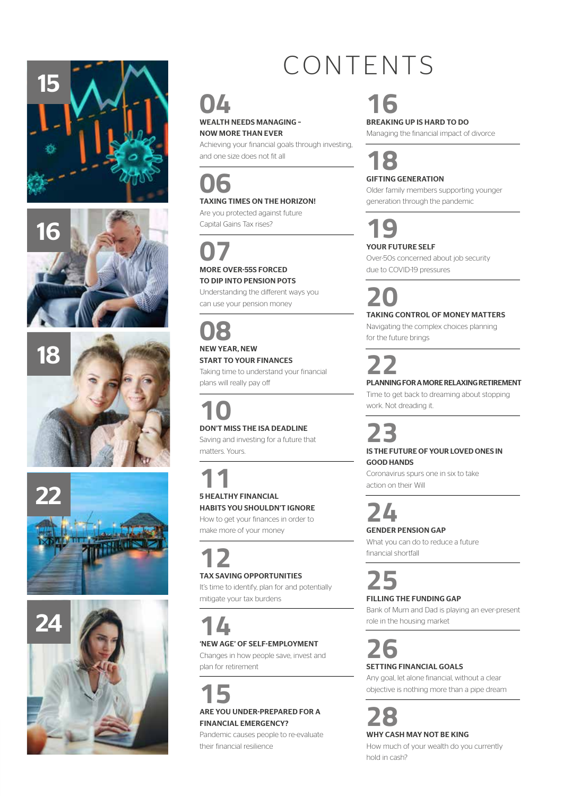









# CONTENTS

# **16**

BREAKING UP IS HARD TO DO

Managing the financial impact of divorce

# **18**

GIFTING GENERATION

Older family members supporting younger generation through the pandemic

**19**

# YOUR FUTURE SELF

Over-50s concerned about job security due to COVID-19 pressures

**20**<br>TAKING CONTROL OF MONEY MATTERS

Navigating the complex choices planning for the future brings

**22** PLANNING FOR A MORE RELAXING RETIREMENT

Time to get back to dreaming about stopping work. Not dreading it.

**23** IS THE FUTURE OF YOUR LOVED ONES IN GOOD HANDS

Coronavirus spurs one in six to take action on their Will

**24**

GENDER PENSION GAP

What you can do to reduce a future financial shortfall

# **25** FILLING THE FUNDING GAP

Bank of Mum and Dad is playing an ever-present role in the housing market

**26** SETTING FINANCIAL GOALS

Any goal, let alone financial, without a clear objective is nothing more than a pipe dream

# **28** WHY CASH MAY NOT BE KING

How much of your wealth do you currently hold in cash?

# **04**

WEALTH NEEDS MANAGING – NOW MORE THAN EVER

Achieving your financial goals through investing, and one size does not fit all

# **06**

TAXING TIMES ON THE HORIZON! Are you protected against future

Capital Gains Tax rises?

# **07** MORE OVER-55S FORCED

TO DIP INTO PENSION POTS Understanding the different ways you

can use your pension money

# **08** NEW YEAR, NEW

# START TO YOUR FINANCES

Taking time to understand your financial plans will really pay off

# **10**<br>DON'T MISS THE ISA DEADLINE

Saving and investing for a future that matters. Yours.

# **11** 5 HEALTHY FINANCIAL

# HABITS YOU SHOULDN'T IGNORE

How to get your finances in order to make more of your money

# **12** TAX SAVING OPPORTUNITIES

It's time to identify, plan for and potentially mitigate your tax burdens

# **14** 'NEW AGE' OF SELF-EMPLOYMENT

Changes in how people save, invest and plan for retirement

# **15** ARE YOU UNDER-PREPARED FOR A

FINANCIAL EMERGENCY?

Pandemic causes people to re-evaluate their financial resilience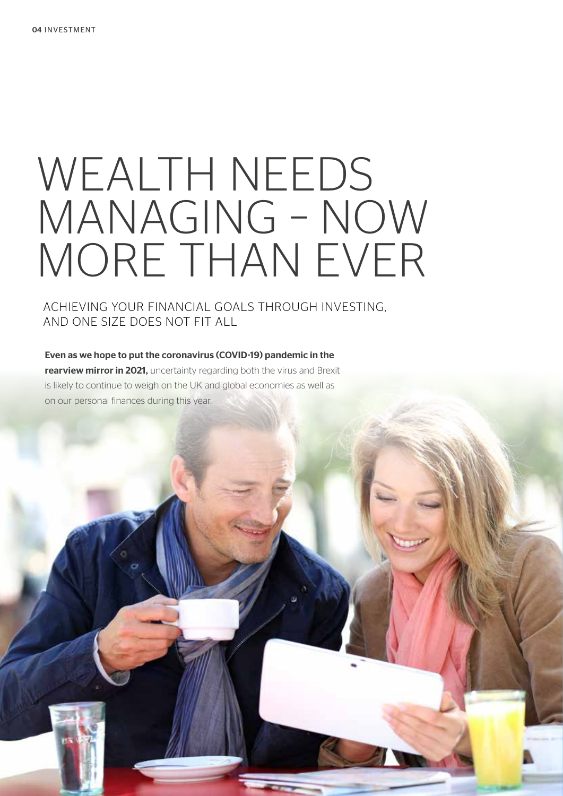# WEALTH NEEDS MANAGING – NOW MORE THAN EVER

ACHIEVING YOUR FINANCIAL GOALS THROUGH INVESTING, AND ONE SIZE DOES NOT FIT ALL

Even as we hope to put the coronavirus (COVID-19) pandemic in the rearview mirror in 2021, uncertainty regarding both the virus and Brexit is likely to continue to weigh on the UK and global economies as well as on our personal finances during this year.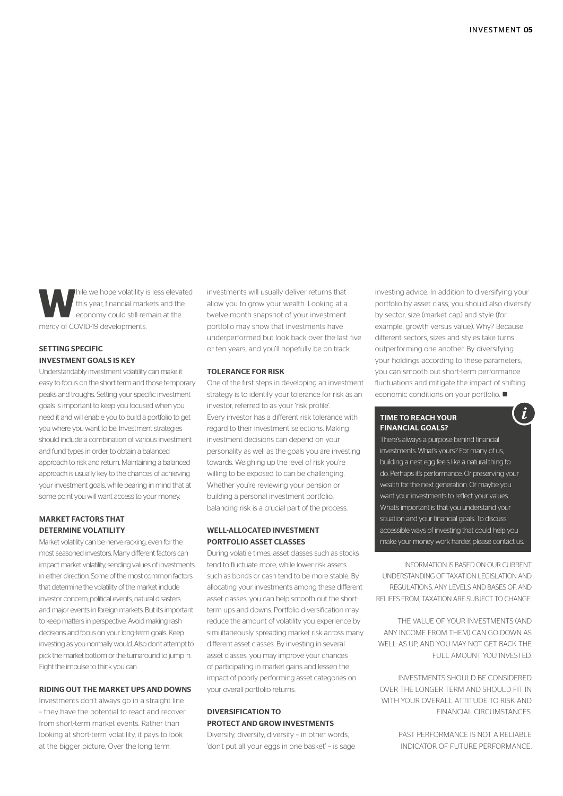While we hope volatility is less elevated<br>this year, financial markets and the<br>economy could still remain at the<br> $(50^{10}B)$  develops the main at the this year, financial markets and the economy could still remain at the mercy of COVID-19 developments.

# SETTING SPECIFIC INVESTMENT GOALS IS KEY

Understandably investment volatility can make it easy to focus on the short term and those temporary peaks and troughs. Setting your specific investment goals is important to keep you focused when you need it and will enable you to build a portfolio to get you where you want to be. Investment strategies should include a combination of various investment and fund types in order to obtain a balanced approach to risk and return. Maintaining a balanced approach is usually key to the chances of achieving your investment goals, while bearing in mind that at some point you will want access to your money.

# MARKET FACTORS THAT DETERMINE VOLATILITY

Market volatility can be nerve-racking, even for the most seasoned investors. Many different factors can impact market volatility, sending values of investments in either direction. Some of the most common factors that determine the volatility of the market include investor concern, political events, natural disasters and major events in foreign markets. But it's important to keep matters in perspective. Avoid making rash decisions and focus on your long-term goals. Keep investing as you normally would. Also don't attempt to pick the market bottom or the turnaround to jump in. Fight the impulse to think you can.

# RIDING OUT THE MARKET UPS AND DOWNS

Investments don't always go in a straight line – they have the potential to react and recover from short-term market events. Rather than looking at short-term volatility, it pays to look at the bigger picture. Over the long term,

investments will usually deliver returns that allow you to grow your wealth. Looking at a twelve-month snapshot of your investment portfolio may show that investments have underperformed but look back over the last five or ten years, and you'll hopefully be on track.

## TOLERANCE FOR RISK

One of the first steps in developing an investment strategy is to identify your tolerance for risk as an investor, referred to as your 'risk profile'. Every investor has a different risk tolerance with regard to their investment selections. Making investment decisions can depend on your personality as well as the goals you are investing towards. Weighing up the level of risk you're willing to be exposed to can be challenging. Whether you're reviewing your pension or building a personal investment portfolio, balancing risk is a crucial part of the process.

### WELL-ALLOCATED INVESTMENT PORTFOLIO ASSET CLASSES

During volatile times, asset classes such as stocks tend to fluctuate more, while lower-risk assets such as bonds or cash tend to be more stable. By allocating your investments among these different asset classes, you can help smooth out the shortterm ups and downs. Portfolio diversification may reduce the amount of volatility you experience by simultaneously spreading market risk across many different asset classes. By investing in several asset classes, you may improve your chances of participating in market gains and lessen the impact of poorly performing asset categories on your overall portfolio returns.

# DIVERSIFICATION TO PROTECT AND GROW INVESTMENTS

Diversify, diversify, diversify – in other words, 'don't put all your eggs in one basket' – is sage

investing advice. In addition to diversifying your portfolio by asset class, you should also diversify by sector, size (market cap) and style (for example, growth versus value). Why? Because different sectors, sizes and styles take turns outperforming one another. By diversifying your holdings according to these parameters, you can smooth out short-term performance fluctuations and mitigate the impact of shifting economic conditions on your portfolio.  $\blacksquare$ 

 $\overline{L}$ 

## TIME TO REACH YOUR FINANCIAL GOALS?

There's always a purpose behind financial investments. What's yours? For many of us, building a nest egg feels like a natural thing to do. Perhaps it's performance. Or preserving your wealth for the next generation. Or maybe you want your investments to reflect your values. What's important is that you understand your situation and your financial goals. To discuss accessible ways of investing that could help you make your money work harder, please contact us.

INFORMATION IS BASED ON OUR CURRENT UNDERSTANDING OF TAXATION LEGISLATION AND REGULATIONS. ANY LEVELS AND BASES OF, AND RELIEFS FROM, TAXATION ARE SUBJECT TO CHANGE.

THE VALUE OF YOUR INVESTMENTS (AND ANY INCOME FROM THEM) CAN GO DOWN AS WELL AS UP, AND YOU MAY NOT GET BACK THE FULL AMOUNT YOU INVESTED.

INVESTMENTS SHOULD BE CONSIDERED OVER THE LONGER TERM AND SHOULD FIT IN WITH YOUR OVERALL ATTITUDE TO RISK AND FINANCIAL CIRCUMSTANCES.

> PAST PERFORMANCE IS NOT A RELIABLE INDICATOR OF FUTURE PERFORMANCE.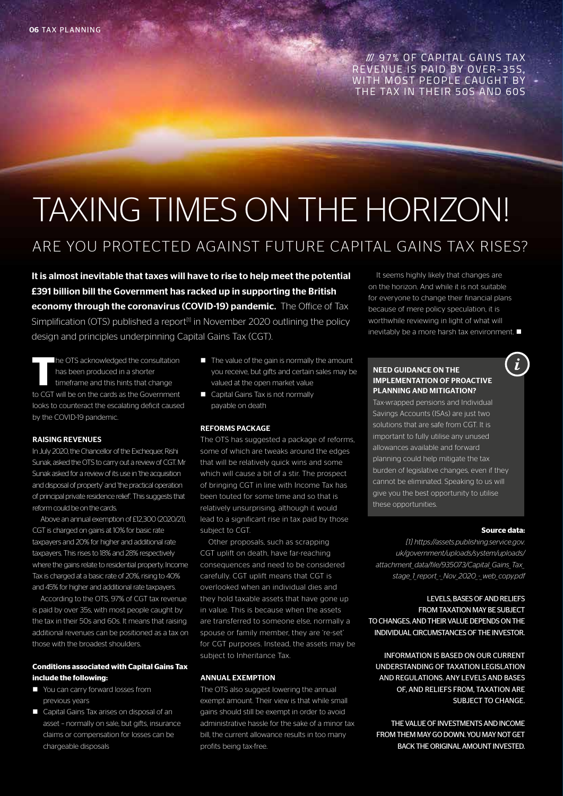/// 97% OF CAPITAL GAINS TAX REVENUE IS PAID BY OVER-35S. WITH MOST PEOPLE CAUGHT BY THE TAX IN THEIR 50S AND 60S

# TAXING TIMES ON THE HORIZON!

# ARE YOU PROTECTED AGAINST FUTURE CAPITAL GAINS TAX RISES?

It is almost inevitable that taxes will have to rise to help meet the potential £391 billion bill the Government has racked up in supporting the British economy through the coronavirus (COVID-19) pandemic. The Office of Tax Simplification (OTS) published a report<sup>[1]</sup> in November 2020 outlining the policy design and principles underpinning Capital Gains Tax (CGT).

**T**he OTS acknowledged the consultation has been produced in a shorter timeframe and this hints that change to CGT will be on the cards as the Government looks to counteract the escalating deficit caused by the COVID-19 pandemic.

# RAISING REVENUES

In July 2020, the Chancellor of the Exchequer, Rishi Sunak, asked the OTS to carry out a review of CGT. Mr Sunak asked for a review of its use in 'the acquisition and disposal of property' and 'the practical operation of principal private residence relief'. This suggests that reform could be on the cards.

Above an annual exemption of £12,300 (2020/21), CGT is charged on gains at 10% for basic rate taxpayers and 20% for higher and additional rate taxpayers. This rises to 18% and 28% respectively where the gains relate to residential property. Income Tax is charged at a basic rate of 20%, rising to 40% and 45% for higher and additional rate taxpayers.

According to the OTS, 97% of CGT tax revenue is paid by over 35s, with most people caught by the tax in their 50s and 60s. It means that raising additional revenues can be positioned as a tax on those with the broadest shoulders.

# **Conditions associated with Capital Gains Tax include the following:**

- You can carry forward losses from previous years
- Capital Gains Tax arises on disposal of an asset – normally on sale, but gifts, insurance claims or compensation for losses can be chargeable disposals
- $\blacksquare$  The value of the gain is normally the amount you receive, but gifts and certain sales may be valued at the open market value
- Capital Gains Tax is not normally payable on death

# REFORMS PACKAGE

The OTS has suggested a package of reforms, some of which are tweaks around the edges that will be relatively quick wins and some which will cause a bit of a stir. The prospect of bringing CGT in line with Income Tax has been touted for some time and so that is relatively unsurprising, although it would lead to a significant rise in tax paid by those subject to CGT.

Other proposals, such as scrapping CGT uplift on death, have far-reaching consequences and need to be considered carefully. CGT uplift means that CGT is overlooked when an individual dies and they hold taxable assets that have gone up in value. This is because when the assets are transferred to someone else, normally a spouse or family member, they are 're-set' for CGT purposes. Instead, the assets may be subject to Inheritance Tax.

# ANNUAL EXEMPTION

The OTS also suggest lowering the annual exempt amount. Their view is that while small gains should still be exempt in order to avoid administrative hassle for the sake of a minor tax bill, the current allowance results in too many profits being tax-free.

It seems highly likely that changes are on the horizon. And while it is not suitable for everyone to change their financial plans because of mere policy speculation, it is worthwhile reviewing in light of what will inevitably be a more harsh tax environment.  $\blacksquare$ 

# NEED GUIDANCE ON THE IMPLEMENTATION OF PROACTIVE PLANNING AND MITIGATION?

Tax-wrapped pensions and Individual Savings Accounts (ISAs) are just two solutions that are safe from CGT. It is important to fully utilise any unused allowances available and forward planning could help mitigate the tax burden of legislative changes, even if they cannot be eliminated. Speaking to us will give you the best opportunity to utilise these opportunities.

### **Source data:**

 $\boldsymbol{i}$ 

*[1] https://assets.publishing.service.gov. uk/government/uploads/system/uploads/ attachment\_data/file/935073/Capital\_Gains\_Tax\_ stage\_1\_report\_-\_Nov\_2020\_-\_web\_copy.pdf*

# LEVELS, BASES OF AND RELIEFS FROM TAXATION MAY BE SUBJECT TO CHANGES, AND THEIR VALUE DEPENDS ON THE INDIVIDUAL CIRCUMSTANCES OF THE INVESTOR.

INFORMATION IS BASED ON OUR CURRENT UNDERSTANDING OF TAXATION LEGISLATION AND REGULATIONS. ANY LEVELS AND BASES OF, AND RELIEFS FROM, TAXATION ARE SUBJECT TO CHANGE.

THE VALUE OF INVESTMENTS AND INCOME FROM THEM MAY GO DOWN. YOU MAY NOT GET BACK THE ORIGINAL AMOUNT INVESTED.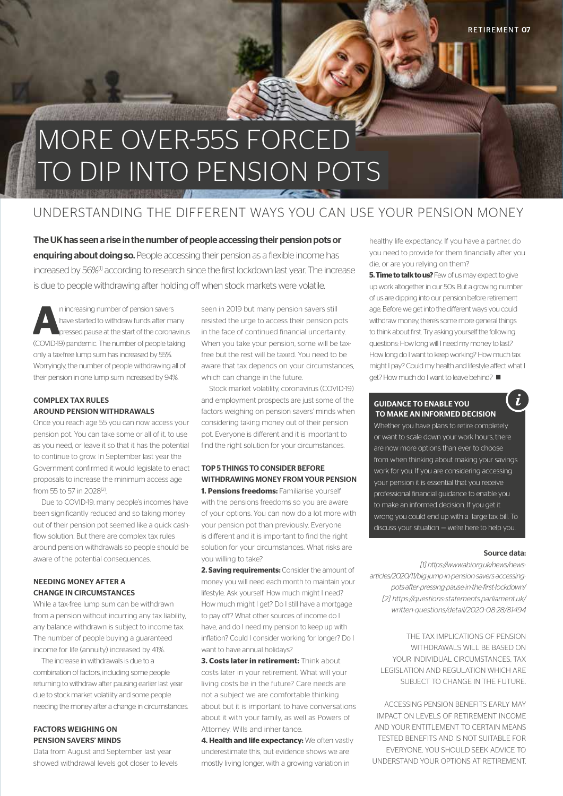# MORE OVER-55S FORCED TO DIP INTO PENSION POTS

# UNDERSTANDING THE DIFFERENT WAYS YOU CAN USE YOUR PENSION MONEY

The UK has seen a rise in the number of people accessing their pension pots or enquiring about doing so. People accessing their pension as a flexible income has increased by 56%<sup>[1]</sup> according to research since the first lockdown last year. The increase is due to people withdrawing after holding off when stock markets were volatile.

**A**n increasing number of pension savers<br>
have started to withdraw funds after many<br>
pressed pause at the start of the coronavirus<br> **ARAD**<br> **ARAD** have started to withdraw funds after many (COVID-19) pandemic. The number of people taking only a tax-free lump sum has increased by 55%. Worryingly, the number of people withdrawing all of their pension in one lump sum increased by 94%.

# COMPLEX TAX RULES AROUND PENSION WITHDRAWALS

Once you reach age 55 you can now access your pension pot. You can take some or all of it, to use as you need, or leave it so that it has the potential to continue to grow. In September last year the Government confirmed it would legislate to enact proposals to increase the minimum access age from 55 to 57 in 2028<sup>[2]</sup>.

Due to COVID-19, many people's incomes have been significantly reduced and so taking money out of their pension pot seemed like a quick cashflow solution. But there are complex tax rules around pension withdrawals so people should be aware of the potential consequences.

# NEEDING MONEY AFTER A CHANGE IN CIRCUMSTANCES

While a tax-free lump sum can be withdrawn from a pension without incurring any tax liability, any balance withdrawn is subject to income tax. The number of people buying a guaranteed income for life (annuity) increased by 41%.

The increase in withdrawals is due to a combination of factors, including some people returning to withdraw after pausing earlier last year due to stock market volatility and some people needing the money after a change in circumstances.

# FACTORS WEIGHING ON PENSION SAVERS' MINDS

Data from August and September last year showed withdrawal levels got closer to levels seen in 2019 but many pension savers still resisted the urge to access their pension pots in the face of continued financial uncertainty. When you take your pension, some will be taxfree but the rest will be taxed. You need to be aware that tax depends on your circumstances, which can change in the future.

Stock market volatility, coronavirus (COVID-19) and employment prospects are just some of the factors weighing on pension savers' minds when considering taking money out of their pension pot. Everyone is different and it is important to find the right solution for your circumstances.

# TOP 5 THINGS TO CONSIDER BEFORE WITHDRAWING MONEY FROM YOUR PENSION **1. Pensions freedoms:** Familiarise yourself

with the pensions freedoms so you are aware of your options. You can now do a lot more with your pension pot than previously. Everyone is different and it is important to find the right solution for your circumstances. What risks are you willing to take?

**2. Saving requirements:** Consider the amount of money you will need each month to maintain your lifestyle. Ask yourself: How much might I need? How much might I get? Do I still have a mortgage to pay off? What other sources of income do I have, and do I need my pension to keep up with inflation? Could I consider working for longer? Do I want to have annual holidays?

**3. Costs later in retirement:** Think about costs later in your retirement. What will your living costs be in the future? Care needs are not a subject we are comfortable thinking about but it is important to have conversations about it with your family, as well as Powers of Attorney, Wills and inheritance.

**4. Health and life expectancy:** We often vastly underestimate this, but evidence shows we are mostly living longer, with a growing variation in

healthy life expectancy. If you have a partner, do you need to provide for them financially after you die, or are you relying on them?

**5. Time to talk to us?** Few of us may expect to give up work altogether in our 50s. But a growing number of us are dipping into our pension before retirement age. Before we get into the different ways you could withdraw money, there's some more general things to think about first. Try asking yourself the following questions: How long will I need my money to last? How long do I want to keep working? How much tax might I pay? Could my health and lifestyle affect what I get? How much do I want to leave behind? ■

## GUIDANCE TO ENABLE YOU TO MAKE AN INFORMED DECISION

Whether you have plans to retire completely or want to scale down your work hours, there are now more options than ever to choose from when thinking about making your savings work for you. If you are considering accessing your pension it is essential that you receive professional financial guidance to enable you to make an informed decision. If you get it wrong you could end up with a large tax bill. To discuss your situation — we're here to help you.

# Source data:

 $\dot{L}$ 

*[1] https://www.abi.org.uk/news/newsarticles/2020/11/big-jump-in-pension-savers-accessingpots-after-pressing-pause-in-the-first-lockdown/ [2] https://questions-statements.parliament.uk/ written-questions/detail/2020-08-28/81494*

THE TAX IMPLICATIONS OF PENSION WITHDRAWALS WILL BE BASED ON YOUR INDIVIDUAL CIRCUMSTANCES, TAX LEGISLATION AND REGULATION WHICH ARE SUBJECT TO CHANGE IN THE FUTURE.

ACCESSING PENSION BENEFITS EARLY MAY IMPACT ON LEVELS OF RETIREMENT INCOME AND YOUR ENTITLEMENT TO CERTAIN MEANS TESTED BENEFITS AND IS NOT SUITABLE FOR EVERYONE. YOU SHOULD SEEK ADVICE TO UNDERSTAND YOUR OPTIONS AT RETIREMENT.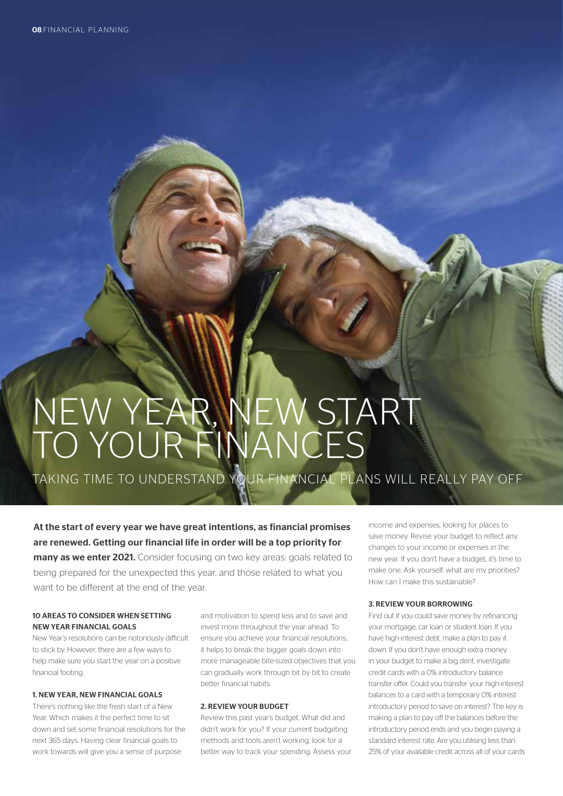# NEW YEAR, NEW START TO YOUR FINANCES

TAKING TIME TO UNDERSTAND YOUR FINANCIAL PLANS WILL REALLY PAY OFF

At the start of every year we have great intentions, as financial promises are renewed. Getting our financial life in order will be a top priority for

many as we enter 2021. Consider focusing on two key areas: goals related to being prepared for the unexpected this year, and those related to what you want to be different at the end of the year.

# 10 AREAS TO CONSIDER WHEN SETTING NEW YEAR FINANCIAL GOALS

New Year's resolutions can be notoriously difficult to stick by. However, there are a few ways to help make sure you start the year on a positive financial footing.

### 1. NEW YEAR, NEW FINANCIAL GOALS

There's nothing like the fresh start of a New Year. Which makes it the perfect time to sit down and set some financial resolutions for the next 365 days. Having clear financial goals to work towards will give you a sense of purpose

and motivation to spend less and to save and invest more throughout the year ahead. To ensure you achieve your financial resolutions, it helps to break the bigger goals down into more manageable bite-sized objectives that you can gradually work through bit by bit to create better financial habits.

### 2. REVIEW YOUR BUDGET

Review this past year's budget. What did and didn't work for you? If your current budgeting methods and tools aren't working, look for a better way to track your spending. Assess your income and expenses, looking for places to save money. Revise your budget to reflect any changes to your income or expenses in the new year. If you don't have a budget, it's time to make one. Ask yourself: what are my priorities? How can I make this sustainable?

# 3. REVIEW YOUR BORROWING

Find out if you could save money by refinancing your mortgage, car loan or student loan. If you have high-interest debt, make a plan to pay it down. If you don't have enough extra money in your budget to make a big dent, investigate credit cards with a 0% introductory balance transfer offer. Could you transfer your high-interest balances to a card with a temporary 0% interest introductory period to save on interest? The key is making a plan to pay off the balances before the introductory period ends and you begin paying a standard interest rate. Are you utilising less than 25% of your available credit across all of your cards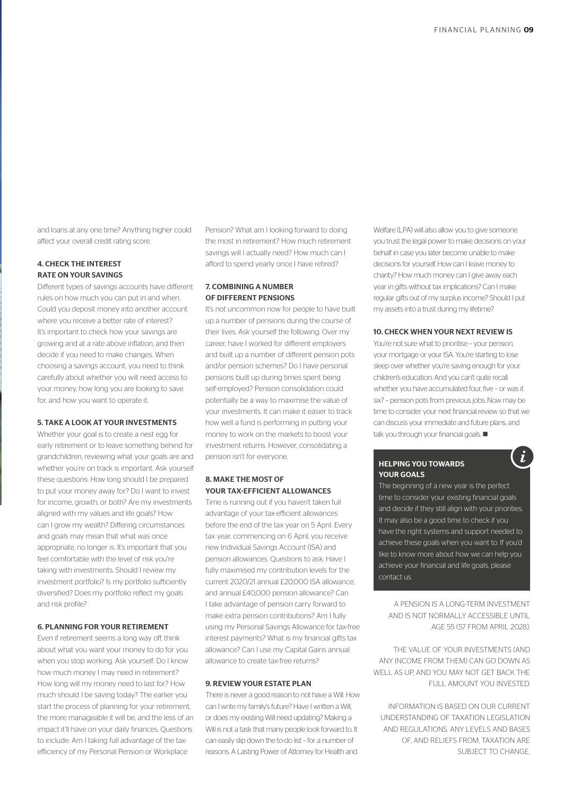and loans at any one time? Anything higher could affect your overall credit rating score.

# 4. CHECK THE INTEREST RATE ON YOUR SAVINGS

Different types of savings accounts have different rules on how much you can put in and when. Could you deposit money into another account where you receive a better rate of interest? It's important to check how your savings are growing and at a rate above inflation, and then decide if you need to make changes. When choosing a savings account, you need to think carefully about whether you will need access to your money, how long you are looking to save for, and how you want to operate it.

# 5. TAKE A LOOK AT YOUR INVESTMENTS

Whether your goal is to create a nest egg for early retirement or to leave something behind for grandchildren, reviewing what your goals are and whether you're on track is important. Ask yourself these questions: How long should I be prepared to put your money away for? Do I want to invest for income, growth, or both? Are my investments aligned with my values and life goals? How can I grow my wealth? Differing circumstances and goals may mean that what was once appropriate, no longer is. It's important that you feel comfortable with the level of risk you're taking with investments. Should I review my investment portfolio? Is my portfolio sufficiently diversified? Does my portfolio reflect my goals and risk profile?

# 6. PLANNING FOR YOUR RETIREMENT

Even if retirement seems a long way off, think about what you want your money to do for you when you stop working. Ask yourself: Do I know how much money I may need in retirement? How long will my money need to last for? How much should I be saving today? The earlier you start the process of planning for your retirement, the more manageable it will be, and the less of an impact it'll have on your daily finances. Questions to include: Am I taking full advantage of the taxefficiency of my Personal Pension or Workplace

Pension? What am I looking forward to doing the most in retirement? How much retirement savings will I actually need? How much can I afford to spend yearly once I have retired?

# 7. COMBINING A NUMBER OF DIFFERENT PENSIONS

It's not uncommon now for people to have built up a number of pensions during the course of their lives. Ask yourself the following: Over my career, have I worked for different employers and built up a number of different pension pots and/or pension schemes? Do I have personal pensions built up during times spent being self-employed? Pension consolidation could potentially be a way to maximise the value of your investments. It can make it easier to track how well a fund is performing in putting your money to work on the markets to boost your investment returns. However, consolidating a pension isn't for everyone.

# 8. MAKE THE MOST OF YOUR TAX-EFFICIENT ALLOWANCES

Time is running out if you haven't taken full advantage of your tax-efficient allowances before the end of the tax year on 5 April. Every tax year, commencing on 6 April, you receive new Individual Savings Account (ISA) and pension allowances. Questions to ask: Have I fully maximised my contribution levels for the current 2020/21 annual £20,000 ISA allowance, and annual £40,000 pension allowance? Can I take advantage of pension carry forward to make extra pension contributions? Am I fully using my Personal Savings Allowance for tax-free interest payments? What is my financial gifts tax allowance? Can I use my Capital Gains annual allowance to create tax-free returns?

### 9. REVIEW YOUR ESTATE PLAN

There is never a good reason to not have a Will. How can I write my family's future? Have I written a Will, or does my existing Will need updating? Making a Will is not a task that many people look forward to. It can easily slip down the to-do list – for a number of reasons. A Lasting Power of Attorney for Health and

Welfare (LPA) will also allow you to give someone you trust the legal power to make decisions on your behalf in case you later become unable to make decisions for yourself. How can I leave money to charity? How much money can I give away each year in gifts without tax implications? Can I make regular gifts out of my surplus income? Should I put my assets into a trust during my lifetime?

## 10. CHECK WHEN YOUR NEXT REVIEW IS

You're not sure what to prioritise – your pension, your mortgage or your ISA. You're starting to lose sleep over whether you're saving enough for your children's education. And you can't quite recall whether you have accumulated four, five – or was it six? – pension pots from previous jobs. Now may be time to consider your next financial review so that we can discuss your immediate and future plans, and  $talk you through your financial goals.  $\blacksquare$$ 

Ĭ.

### HELPING YOU TOWARDS YOUR GOALS

The beginning of a new year is the perfect time to consider your existing financial goals and decide if they still align with your priorities. It may also be a good time to check if you have the right systems and support needed to achieve these goals when you want to. If you'd like to know more about how we can help you achieve your financial and life goals, please contact us.

A PENSION IS A LONG-TERM INVESTMENT AND IS NOT NORMALLY ACCESSIBLE UNTIL AGE 55 (57 FROM APRIL 2028).

THE VALUE OF YOUR INVESTMENTS (AND ANY INCOME FROM THEM) CAN GO DOWN AS WELL AS UP, AND YOU MAY NOT GET BACK THE FULL AMOUNT YOU INVESTED.

INFORMATION IS BASED ON OUR CURRENT UNDERSTANDING OF TAXATION LEGISLATION AND REGULATIONS. ANY LEVELS AND BASES OF, AND RELIEFS FROM, TAXATION ARE SUBJECT TO CHANGE.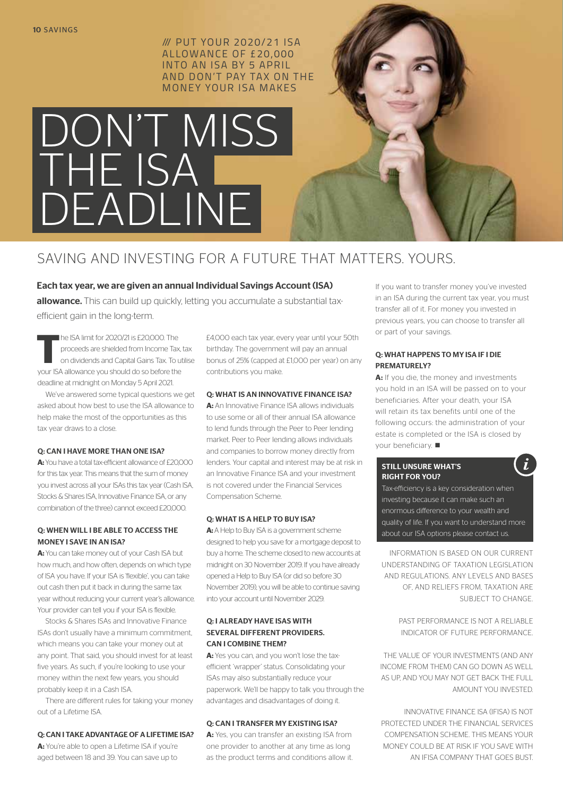/// PUT YOUR 2020/21 ISA ALLOWANCE OF £20,000 INTO AN ISA BY 5 APRIL AND DON'T PAY TAX ON THE MONEY YOUR ISA MAKES

# DON'T MISS THE ISA DEADLINE

# SAVING AND INVESTING FOR A FUTURE THAT MATTERS. YOURS.

Each tax year, we are given an annual Individual Savings Account (ISA) allowance. This can build up quickly, letting you accumulate a substantial taxefficient gain in the long-term.

**T**he ISA limit for 2020/21 is £20,000. The proceeds are shielded from Income Tax, tax on dividends and Capital Gains Tax. To utilise your ISA allowance you should do so before the deadline at midnight on Monday 5 April 2021.

We've answered some typical questions we get asked about how best to use the ISA allowance to help make the most of the opportunities as this tax year draws to a close.

# Q: CAN I HAVE MORE THAN ONE ISA?

**A:** You have a total tax-efficient allowance of £20,000 for this tax year. This means that the sum of money you invest across all your ISAs this tax year (Cash ISA, Stocks & Shares ISA, Innovative Finance ISA, or any combination of the three) cannot exceed £20,000.

# Q: WHEN WILL I BE ABLE TO ACCESS THE MONEY I SAVE IN AN ISA?

**A:** You can take money out of your Cash ISA but how much, and how often, depends on which type of ISA you have. If your ISA is 'flexible', you can take out cash then put it back in during the same tax year without reducing your current year's allowance. Your provider can tell you if your ISA is flexible.

Stocks & Shares ISAs and Innovative Finance ISAs don't usually have a minimum commitment, which means you can take your money out at any point. That said, you should invest for at least five years. As such, if you're looking to use your money within the next few years, you should probably keep it in a Cash ISA.

There are different rules for taking your money out of a Lifetime ISA.

# Q: CAN I TAKE ADVANTAGE OF A LIFETIME ISA?

**A:** You're able to open a Lifetime ISA if you're aged between 18 and 39. You can save up to

£4,000 each tax year, every year until your 50th birthday. The government will pay an annual bonus of 25% (capped at £1,000 per year) on any contributions you make.

# Q: WHAT IS AN INNOVATIVE FINANCE ISA?

**A:** An Innovative Finance ISA allows individuals to use some or all of their annual ISA allowance to lend funds through the Peer to Peer lending market. Peer to Peer lending allows individuals and companies to borrow money directly from lenders. Your capital and interest may be at risk in an Innovative Finance ISA and your investment is not covered under the Financial Services Compensation Scheme.

# Q: WHAT IS A HELP TO BUY ISA?

A: A Help to Buy ISA is a government scheme designed to help you save for a mortgage deposit to buy a home. The scheme closed to new accounts at midnight on 30 November 2019. If you have already opened a Help to Buy ISA (or did so before 30 November 2019), you will be able to continue saving into your account until November 2029.

# Q: I ALREADY HAVE ISAS WITH SEVERAL DIFFERENT PROVIDERS. CAN I COMBINE THEM?

**A:** Yes you can, and you won't lose the taxefficient 'wrapper' status. Consolidating your ISAs may also substantially reduce your paperwork. We'll be happy to talk you through the advantages and disadvantages of doing it.

# Q: CAN I TRANSFER MY EXISTING ISA?

**A:** Yes, you can transfer an existing ISA from one provider to another at any time as long as the product terms and conditions allow it. If you want to transfer money you've invested in an ISA during the current tax year, you must transfer all of it. For money you invested in previous years, you can choose to transfer all or part of your savings.

# Q: WHAT HAPPENS TO MY ISA IF I DIE PREMATURELY?

A: If you die, the money and investments you hold in an ISA will be passed on to your beneficiaries. After your death, your ISA will retain its tax benefits until one of the following occurs: the administration of your estate is completed or the ISA is closed by vour beneficiary.  $\blacksquare$ 

# STILL UNSURE WHAT'S RIGHT FOR YOU?

 $\dot{L}$ 

Tax-efficiency is a key consideration when investing because it can make such an enormous difference to your wealth and quality of life. If you want to understand more about our ISA options please contact us.

INFORMATION IS BASED ON OUR CURRENT UNDERSTANDING OF TAXATION LEGISLATION AND REGULATIONS. ANY LEVELS AND BASES OF, AND RELIEFS FROM, TAXATION ARE SUBJECT TO CHANGE

> PAST PERFORMANCE IS NOT A RELIABLE INDICATOR OF FUTURE PERFORMANCE.

THE VALUE OF YOUR INVESTMENTS (AND ANY INCOME FROM THEM) CAN GO DOWN AS WELL AS UP, AND YOU MAY NOT GET BACK THE FULL AMOUNT YOU INVESTED.

INNOVATIVE FINANCE ISA (IFISA) IS NOT PROTECTED UNDER THE FINANCIAL SERVICES COMPENSATION SCHEME. THIS MEANS YOUR MONEY COULD BE AT RISK IF YOU SAVE WITH AN IFISA COMPANY THAT GOES BUST.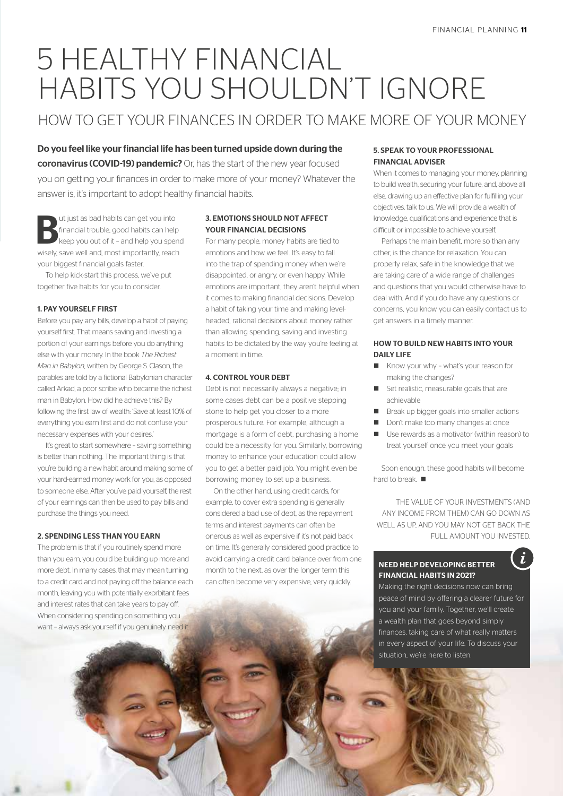# 5 HEALTHY FINANCIAL HABITS YOU SHOULDN'T IGNORE

# HOW TO GET YOUR FINANCES IN ORDER TO MAKE MORE OF YOUR MONEY

Do you feel like your financial life has been turned upside down during the coronavirus (COVID-19) pandemic? Or, has the start of the new year focused you on getting your finances in order to make more of your money? Whatever the answer is, it's important to adopt healthy financial habits.

But just as bad habits can get you into<br>financial trouble, good habits can help<br>keep you out of it - and help you spen<br>wisely spen well and meet importantly used financial trouble, good habits can help keep you out of it – and help you spend wisely, save well and, most importantly, reach your biggest financial goals faster.

To help kick-start this process, we've put together five habits for you to consider.

# 1. PAY YOURSELF FIRST

Before you pay any bills, develop a habit of paying yourself first. That means saving and investing a portion of your earnings before you do anything else with your money. In the book *The Richest Man in Babylon*, written by George S. Clason, the parables are told by a fictional Babylonian character called Arkad, a poor scribe who became the richest man in Babylon. How did he achieve this? By following the first law of wealth: 'Save at least 10% of everything you earn first and do not confuse your necessary expenses with your desires.'

It's great to start somewhere – saving something is better than nothing. The important thing is that you're building a new habit around making some of your hard-earned money work for you, as opposed to someone else. After you've paid yourself, the rest of your earnings can then be used to pay bills and purchase the things you need.

# 2. SPENDING LESS THAN YOU EARN

The problem is that if you routinely spend more than you earn, you could be building up more and more debt. In many cases, that may mean turning to a credit card and not paying off the balance each month, leaving you with potentially exorbitant fees and interest rates that can take years to pay off. When considering spending on something you want – always ask yourself if you genuinely need it.

# 3. EMOTIONS SHOULD NOT AFFECT YOUR FINANCIAL DECISIONS

For many people, money habits are tied to emotions and how we feel. It's easy to fall into the trap of spending money when we're disappointed, or angry, or even happy. While emotions are important, they aren't helpful when it comes to making financial decisions. Develop a habit of taking your time and making levelheaded, rational decisions about money rather than allowing spending, saving and investing habits to be dictated by the way you're feeling at a moment in time.

# 4. CONTROL YOUR DEBT

Debt is not necessarily always a negative; in some cases debt can be a positive stepping stone to help get you closer to a more prosperous future. For example, although a mortgage is a form of debt, purchasing a home could be a necessity for you. Similarly, borrowing money to enhance your education could allow you to get a better paid job. You might even be borrowing money to set up a business.

On the other hand, using credit cards, for example, to cover extra spending is generally considered a bad use of debt, as the repayment terms and interest payments can often be onerous as well as expensive if it's not paid back on time. It's generally considered good practice to avoid carrying a credit card balance over from one month to the next, as over the longer term this can often become very expensive, very quickly.

# 5. SPEAK TO YOUR PROFESSIONAL FINANCIAL ADVISER

When it comes to managing your money, planning to build wealth, securing your future, and, above all else, drawing up an effective plan for fulfilling your objectives, talk to us. We will provide a wealth of knowledge, qualifications and experience that is difficult or impossible to achieve yourself.

Perhaps the main benefit, more so than any other, is the chance for relaxation. You can properly relax, safe in the knowledge that we are taking care of a wide range of challenges and questions that you would otherwise have to deal with. And if you do have any questions or concerns, you know you can easily contact us to get answers in a timely manner.

# HOW TO BUILD NEW HABITS INTO YOUR DAILY LIFE

- Know your why what's your reason for making the changes?
- Set realistic, measurable goals that are achievable
- Break up bigger goals into smaller actions
- n Don't make too many changes at once
- $\blacksquare$  Use rewards as a motivator (within reason) to treat yourself once you meet your goals

Soon enough, these good habits will become hard to break.

THE VALUE OF YOUR INVESTMENTS (AND ANY INCOME FROM THEM) CAN GO DOWN AS WELL AS UP AND YOU MAY NOT GET BACK THE FULL AMOUNT YOU INVESTED.

# NEED HELP DEVELOPING BETTER FINANCIAL HABITS IN 2021?

Making the right decisions now can bring peace of mind by offering a clearer future for you and your family. Together, we'll create a wealth plan that goes beyond simply finances, taking care of what really matters in every aspect of your life. To discuss your situation, we're here to listen.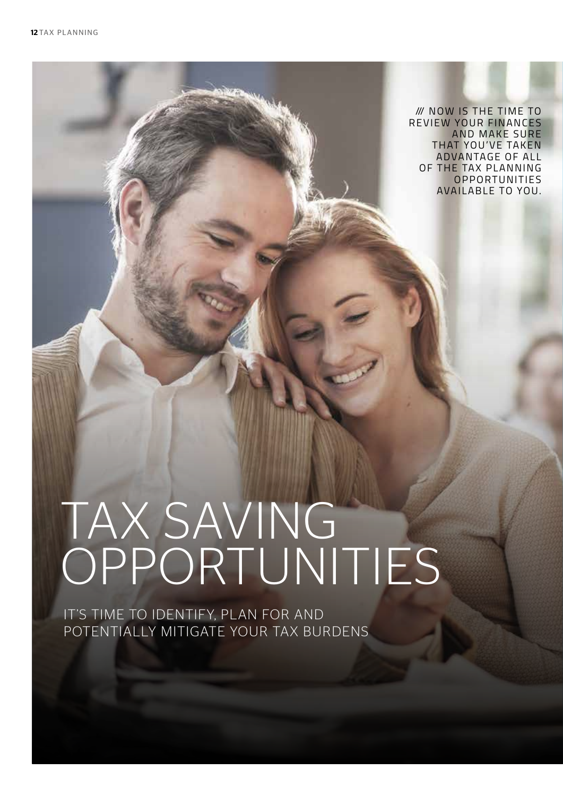*III* NOW IS THE TIME TO REVIEW YOUR FINANCES AND MAKE SURE THAT YOU'VE TAKEN ADVANTAGE OF ALL OF THE TAX PLANNING **OPPORTUNITIES** AVAILABLE TO YOU.

# TAX SAVING OPPORTUNITIES

IT'S TIME TO IDENTIFY, PLAN FOR AND POTENTIALLY MITIGATE YOUR TAX BURDENS

The Government has spent hundreds of billions on measures to support businesses and fight the coronavirus (COVID-19) pandemic. But the coronavirus (COVID-19) pandemic. But the coronavirus (COVID-19) pandemic. But the coronavirus (COVID-19) pandemic. But the coronavirus (COVID-19) pandemic.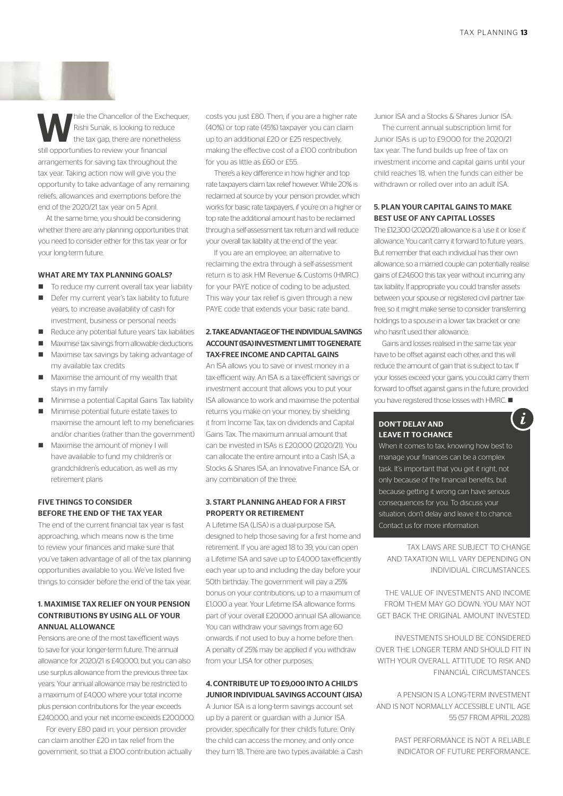While the Chancellor of the Exchequer,<br>
Rishi Sunak, is looking to reduce<br>
the tax gap, there are nonetheless<br>
atill are artimized and increased in the state of the state of the state of the state of the state of the state Rishi Sunak, is looking to reduce still opportunities to review your financial arrangements for saving tax throughout the tax year. Taking action now will give you the opportunity to take advantage of any remaining reliefs, allowances and exemptions before the end of the 2020/21 tax year on 5 April.

At the same time, you should be considering whether there are any planning opportunities that you need to consider either for this tax year or for your long-term future.

### WHAT ARE MY TAX PLANNING GOALS?

- $\blacksquare$  To reduce my current overall tax year liability
- $\blacksquare$  Defer my current year's tax liability to future years, to increase availability of cash for investment, business or personal needs
- Reduce any potential future years' tax liabilities
- Maximise tax savings from allowable deductions
- Maximise tax savings by taking advantage of my available tax credits
- n Maximise the amount of my wealth that stays in my family
- Minimise a potential Capital Gains Tax liability
- $\blacksquare$  Minimise potential future estate taxes to maximise the amount left to my beneficiaries and/or charities (rather than the government)
- Maximise the amount of money I will have available to fund my children's or grandchildren's education, as well as my retirement plans

# FIVE THINGS TO CONSIDER BEFORE THE END OF THE TAX YEAR

The end of the current financial tax year is fast approaching, which means now is the time to review your finances and make sure that you've taken advantage of all of the tax planning opportunities available to you. We've listed five things to consider before the end of the tax year.

# 1. MAXIMISE TAX RELIEF ON YOUR PENSION CONTRIBUTIONS BY USING ALL OF YOUR ANNUAL ALLOWANCE

Pensions are one of the most tax-efficient ways to save for your longer-term future. The annual allowance for 2020/21 is £40,000, but you can also use surplus allowance from the previous three tax years. Your annual allowance may be restricted to a maximum of £4,000 where your total income plus pension contributions for the year exceeds £240,000, and your net income exceeds £200,000.

For every £80 paid in, your pension provider can claim another £20 in tax relief from the government, so that a £100 contribution actually costs you just £80. Then, if you are a higher rate (40%) or top rate (45%) taxpayer you can claim up to an additional £20 or £25 respectively, making the effective cost of a £100 contribution for you as little as £60 or £55.

There's a key difference in how higher and top rate taxpayers claim tax relief however. While 20% is reclaimed at source by your pension provider, which works for basic rate taxpayers, if you're on a higher or top rate the additional amount has to be reclaimed through a self-assessment tax return and will reduce your overall tax liability at the end of the year.

If you are an employee, an alternative to reclaiming the extra through a self-assessment return is to ask HM Revenue & Customs (HMRC) for your PAYE notice of coding to be adjusted. This way your tax relief is given through a new PAYE code that extends your basic rate band.

# 2. TAKE ADVANTAGE OF THE INDIVIDUAL SAVINGS ACCOUNT (ISA) INVESTMENT LIMIT TO GENERATE TAX-FREE INCOME AND CAPITAL GAINS

An ISA allows you to save or invest money in a tax-efficient way. An ISA is a tax-efficient savings or investment account that allows you to put your ISA allowance to work and maximise the potential returns you make on your money, by shielding it from Income Tax, tax on dividends and Capital Gains Tax. The maximum annual amount that can be invested in ISAs is £20,000 (2020/21). You can allocate the entire amount into a Cash ISA, a Stocks & Shares ISA, an Innovative Finance ISA, or any combination of the three.

# 3. START PLANNING AHEAD FOR A FIRST PROPERTY OR RETIREMENT

A Lifetime ISA (LISA) is a dual-purpose ISA, designed to help those saving for a first home and retirement. If you are aged 18 to 39, you can open a Lifetime ISA and save up to £4,000 tax-efficiently each year up to and including the day before your 50th birthday. The government will pay a 25% bonus on your contributions, up to a maximum of £1,000 a year. Your Lifetime ISA allowance forms part of your overall £20,000 annual ISA allowance. You can withdraw your savings from age 60 onwards, if not used to buy a home before then. A penalty of 25% may be applied if you withdraw from your LISA for other purposes.

# 4. CONTRIBUTE UP TO £9,000 INTO A CHILD'S JUNIOR INDIVIDUAL SAVINGS ACCOUNT (JISA)

A Junior ISA is a long-term savings account set up by a parent or guardian with a Junior ISA provider, specifically for their child's future. Only the child can access the money, and only once they turn 18. There are two types available: a Cash Junior ISA and a Stocks & Shares Junior ISA.

The current annual subscription limit for Junior ISAs is up to £9,000 for the 2020/21 tax year. The fund builds up free of tax on investment income and capital gains until your child reaches 18, when the funds can either be withdrawn or rolled over into an adult ISA.

# 5. PLAN YOUR CAPITAL GAINS TO MAKE BEST USE OF ANY CAPITAL LOSSES

The £12,300 (2020/21) allowance is a 'use it or lose it' allowance. You can't carry it forward to future years. But remember that each individual has their own allowance, so a married couple can potentially realise gains of £24,600 this tax year without incurring any tax liability. If appropriate you could transfer assets between your spouse or registered civil partner taxfree, so it might make sense to consider transferring holdings to a spouse in a lower tax bracket or one who hasn't used their allowance.

Gains and losses realised in the same tax year have to be offset against each other, and this will reduce the amount of gain that is subject to tax. If your losses exceed your gains, you could carry them forward to offset against gains in the future, provided you have registered those losses with HMRC.  $\blacksquare$ 

i

# DON'T DELAY AND LEAVE IT TO CHANCE

When it comes to tax, knowing how best to manage your finances can be a complex task. It's important that you get it right, not only because of the financial benefits, but because getting it wrong can have serious consequences for you. To discuss your situation, don't delay and leave it to chance. Contact us for more information.

TAX LAWS ARE SUBJECT TO CHANGE AND TAXATION WILL VARY DEPENDING ON INDIVIDUAL CIRCUMSTANCES.

THE VALUE OF INVESTMENTS AND INCOME FROM THEM MAY GO DOWN. YOU MAY NOT GET BACK THE ORIGINAL AMOUNT INVESTED.

INVESTMENTS SHOULD BE CONSIDERED OVER THE LONGER TERM AND SHOULD FIT IN WITH YOUR OVERALL ATTITUDE TO RISK AND FINANCIAL CIRCUMSTANCES.

A PENSION IS A LONG-TERM INVESTMENT AND IS NOT NORMALLY ACCESSIBLE UNTIL AGE 55 (57 FROM APRIL 2028).

> PAST PERFORMANCE IS NOT A RELIABLE INDICATOR OF FUTURE PERFORMANCE.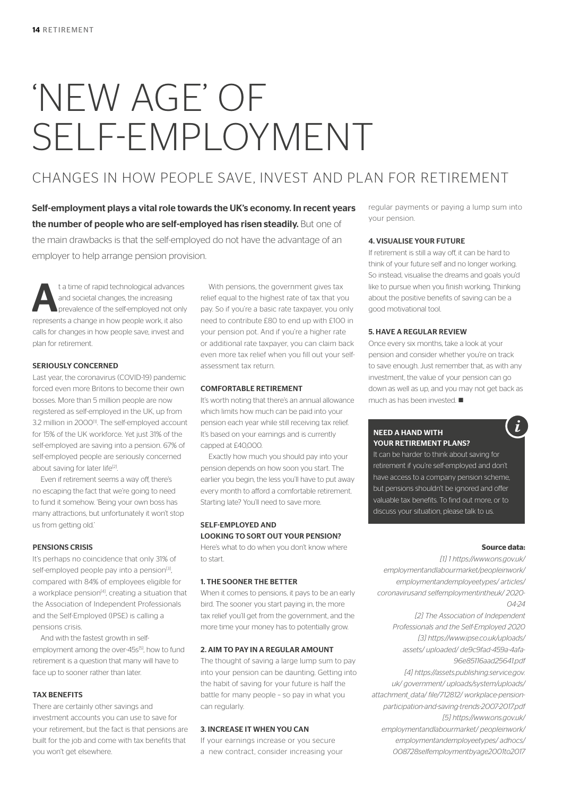# 'NEW AGE' OF SELF-EMPLOYMENT

# CHANGES IN HOW PEOPLE SAVE, INVEST AND PLAN FOR RETIREMENT

Self-employment plays a vital role towards the UK's economy. In recent years the number of people who are self-employed has risen steadily. But one of the main drawbacks is that the self-employed do not have the advantage of an employer to help arrange pension provision.

ta time of rapid technological advances<br>
and societal changes, the increasing<br>
prevalence of the self-employed not only<br>
prevalence in hour prevalences<br>
in the selfand societal changes, the increasing represents a change in how people work, it also calls for changes in how people save, invest and plan for retirement.

## SERIOUSLY CONCERNED

Last year, the coronavirus (COVID-19) pandemic forced even more Britons to become their own bosses. More than 5 million people are now registered as self-employed in the UK, up from 3.2 million in 2000<sup>[1]</sup>. The self-employed account for 15% of the UK workforce. Yet just 31% of the self-employed are saving into a pension. 67% of self-employed people are seriously concerned about saving for later life<sup>[2]</sup>.

Even if retirement seems a way off, there's no escaping the fact that we're going to need to fund it somehow. 'Being your own boss has many attractions, but unfortunately it won't stop us from getting old.'

# PENSIONS CRISIS

It's perhaps no coincidence that only 31% of self-employed people pay into a pension<sup>[3]</sup>, compared with 84% of employees eligible for a workplace pension<sup>[4]</sup>, creating a situation that the Association of Independent Professionals and the Self-Employed (IPSE) is calling a pensions crisis.

And with the fastest growth in selfemployment among the over-45s<sup>[5]</sup>, how to fund retirement is a question that many will have to face up to sooner rather than later.

# TAX BENEFITS

There are certainly other savings and investment accounts you can use to save for your retirement, but the fact is that pensions are built for the job and come with tax benefits that you won't get elsewhere.

With pensions, the government gives tax relief equal to the highest rate of tax that you pay. So if you're a basic rate taxpayer, you only need to contribute £80 to end up with £100 in your pension pot. And if you're a higher rate or additional rate taxpayer, you can claim back even more tax relief when you fill out your selfassessment tax return.

# COMFORTABLE RETIREMENT

It's worth noting that there's an annual allowance which limits how much can be paid into your pension each year while still receiving tax relief. It's based on your earnings and is currently capped at £40,000.

Exactly how much you should pay into your pension depends on how soon you start. The earlier you begin, the less you'll have to put away every month to afford a comfortable retirement. Starting late? You'll need to save more.

# SELF-EMPLOYED AND LOOKING TO SORT OUT YOUR PENSION?

Here's what to do when you don't know where to start.

# 1. THE SOONER THE BETTER

When it comes to pensions, it pays to be an early bird. The sooner you start paying in, the more tax relief you'll get from the government, and the more time your money has to potentially grow.

# 2. AIM TO PAY IN A REGULAR AMOUNT

The thought of saving a large lump sum to pay into your pension can be daunting. Getting into the habit of saving for your future is half the battle for many people – so pay in what you can regularly.

# 3. INCREASE IT WHEN YOU CAN

If your earnings increase or you secure a new contract, consider increasing your regular payments or paying a lump sum into your pension.

### 4. VISUALISE YOUR FUTURE

If retirement is still a way off, it can be hard to think of your future self and no longer working. So instead, visualise the dreams and goals you'd like to pursue when you finish working. Thinking about the positive benefits of saving can be a good motivational tool.

## 5. HAVE A REGULAR REVIEW

Once every six months, take a look at your pension and consider whether you're on track to save enough. Just remember that, as with any investment, the value of your pension can go down as well as up, and you may not get back as much as has been invested.  $\blacksquare$ 

# NEED A HAND WITH YOUR RETIREMENT PLANS?

It can be harder to think about saving for retirement if you're self-employed and don't have access to a company pension scheme, but pensions shouldn't be ignored and offer valuable tax benefits. To find out more, or to discuss your situation, please talk to us.

# **Source data:**

 $\boldsymbol{i}$ 

*[1] 1 https://www.ons.gov.uk/ employmentandlabourmarket/peopleinwork/ employmentandemployeetypes/ articles/ coronavirusand selfemploymentintheuk/ 2020- 04-24*

*[2] The Association of Independent Professionals and the Self-Employed 2020 [3] https://www.ipse.co.uk/uploads/ assets/ uploaded/ de9c9fad-459a-4afa-96e85116aad25641.pdf [4] https://assets.publishing.service.gov. uk/ government/ uploads/system/uploads/ attachment\_data/ file/712812/ workplace-pensionparticipation-and-saving-trends-2007-2017.pdf [5] https://www.ons.gov.uk/ employmentandlabourmarket/ peopleinwork/ employmentandemployeetypes/ adhocs/ 008728selfemploymentbyage2001to2017*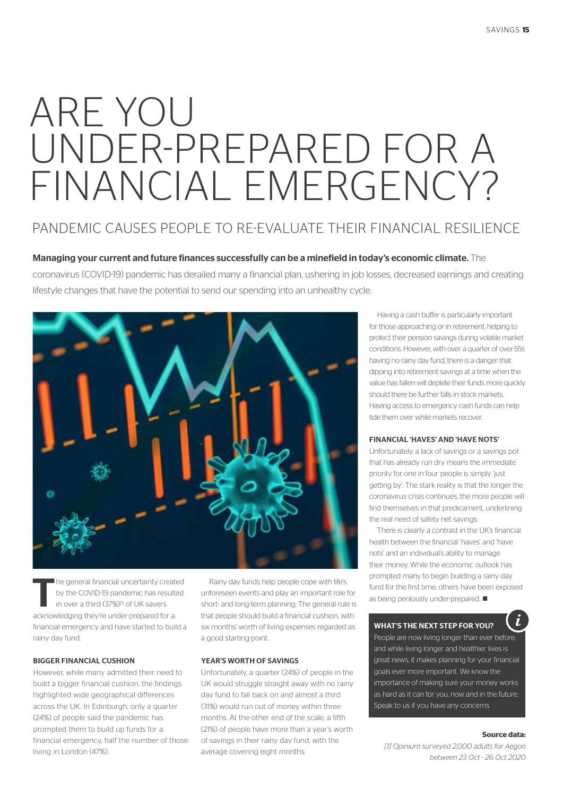# ARE YOU UNDER-PREPARED FOR A FINANCIAL EMERGENCY?

# PANDEMIC CAUSES PEOPLE TO RE-EVALUATE THEIR FINANCIAL RESILIENCE

# Managing your current and future finances successfully can be a minefield in today's economic climate. The

coronavirus (COVID-19) pandemic has derailed many a financial plan, ushering in job losses, decreased earnings and creating lifestyle changes that have the potential to send our spending into an unhealthy cycle.



The general financial uncertainty created<br>by the COVID-19 pandemic has resulted<br>in over a third (37%)<sup>(i)</sup> of UK savers by the COVID-19 pandemic has resulted in over a third (37%)<sup>[1]</sup> of UK savers acknowledging they're under-prepared for a financial emergency and have started to build a rainy day fund.

## BIGGER FINANCIAL CUSHION

However, while many admitted their need to build a bigger financial cushion, the findings highlighted wide geographical differences across the UK. In Edinburgh, only a quarter (24%) of people said the pandemic has prompted them to build up funds for a financial emergency, half the number of those living in London (47%).

Rainy day funds help people cope with life's unforeseen events and play an important role for short- and long-term planning. The general rule is that people should build a financial cushion, with six months' worth of living expenses regarded as a good starting point.

# YEAR'S WORTH OF SAVINGS

Unfortunately, a quarter (24%) of people in the UK would struggle straight away with no rainy day fund to fall back on and almost a third (31%) would run out of money within three months. At the other end of the scale, a fifth (21%) of people have more than a year's worth of savings in their rainy day fund, with the average covering eight months.

Having a cash buffer is particularly important for those approaching or in retirement, helping to protect their pension savings during volatile market conditions. However, with over a quarter of over-55s having no rainy day fund, there is a danger that dipping into retirement savings at a time when the value has fallen will deplete their funds more quickly should there be further falls in stock markets. Having access to emergency cash funds can help tide them over while markets recover.

# FINANCIAL 'HAVES' AND 'HAVE NOTS'

Unfortunately, a lack of savings or a savings pot that has already run dry means the immediate priority for one in four people is simply 'just getting by'. The stark reality is that the longer the coronavirus crisis continues, the more people will find themselves in that predicament, underlining the real need of safety net savings.

There is clearly a contrast in the UK's financial health between the financial 'haves' and 'have nots' and an individual's ability to manage their money. While the economic outlook has prompted many to begin building a rainy day fund for the first time, others have been exposed as being perilously under-prepared.  $\blacksquare$ 

# WHAT'S THE NEXT STEP FOR YOU?

People are now living longer than ever before, and while living longer and healthier lives is great news, it makes planning for your financial goals ever more important. We know the importance of making sure your money works as hard as it can for you, now and in the future. Speak to us if you have any concerns.

### **Source data:**

*[1] Opinium surveyed 2,000 adults for Aegon between 23 Oct - 26 Oct 2020*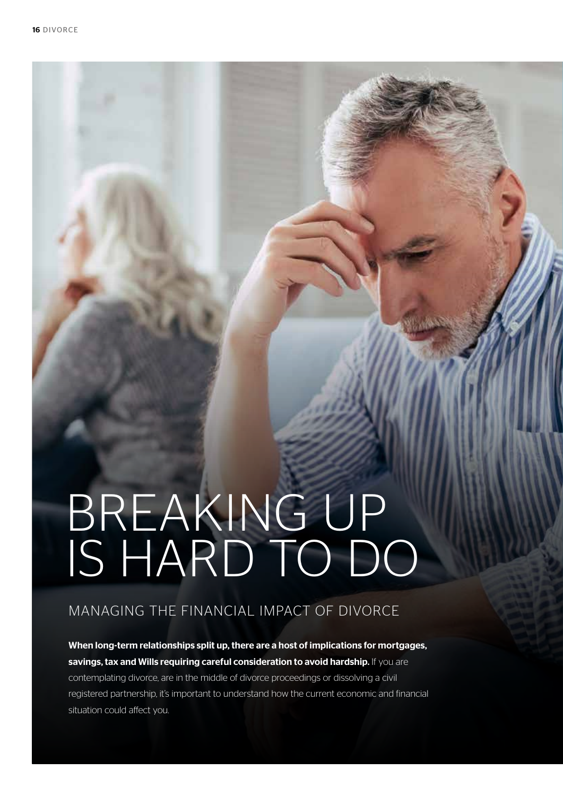# BREAKING UP IS HARD TO DO

# MANAGING THE FINANCIAL IMPACT OF DIVORCE

When long-term relationships split up, there are a host of implications for mortgages, savings, tax and Wills requiring careful consideration to avoid hardship. If you are contemplating divorce, are in the middle of divorce proceedings or dissolving a civil

registered partnership, it's important to understand how the current economic and financial situation could affect you.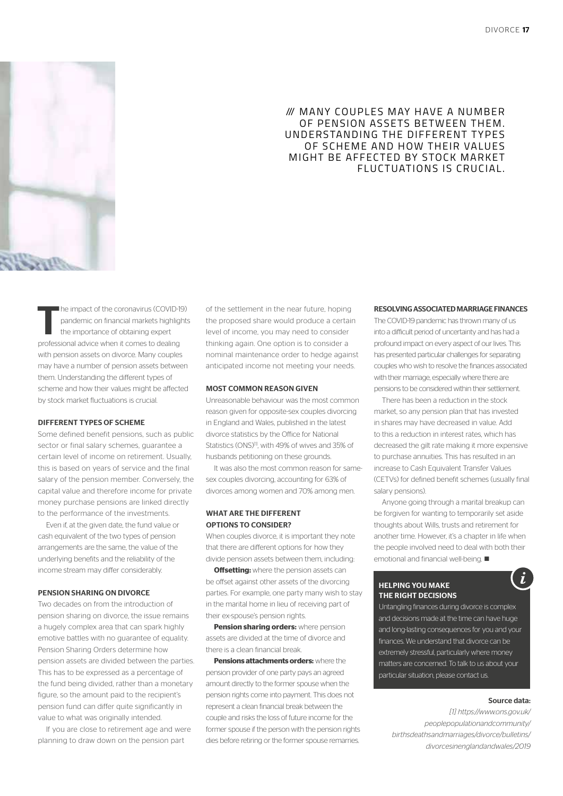

# W MANY COUPLES MAY HAVE A NUMBER OF PENSION ASSETS BETWEEN THEM. UNDERSTANDING THE DIFFERENT TYPES OF SCHEME AND HOW THEIR VALUES MIGHT BE AFFECTED BY STOCK MARKET FLUCTUATIONS IS CRUCIAL.

The impact of the coronavirus (COVID-19) pandemic on financial markets highlights the importance of obtaining expert professional advice when it comes to dealing with pension assets on divorce. Many couples may have a number of pension assets between them. Understanding the different types of scheme and how their values might be affected by stock market fluctuations is crucial.

### DIFFERENT TYPES OF SCHEME

Some defined benefit pensions, such as public sector or final salary schemes, quarantee a certain level of income on retirement. Usually, this is based on years of service and the final salary of the pension member. Conversely, the capital value and therefore income for private money purchase pensions are linked directly to the performance of the investments.

Even if, at the given date, the fund value or cash equivalent of the two types of pension arrangements are the same, the value of the underlying benefits and the reliability of the income stream may differ considerably.

### PENSION SHARING ON DIVORCE

Two decades on from the introduction of pension sharing on divorce, the issue remains a hugely complex area that can spark highly emotive battles with no guarantee of equality. Pension Sharing Orders determine how pension assets are divided between the parties. This has to be expressed as a percentage of the fund being divided, rather than a monetary figure, so the amount paid to the recipient's pension fund can differ quite significantly in value to what was originally intended.

If you are close to retirement age and were planning to draw down on the pension part

of the settlement in the near future, hoping the proposed share would produce a certain level of income, you may need to consider thinking again. One option is to consider a nominal maintenance order to hedge against anticipated income not meeting your needs.

## MOST COMMON REASON GIVEN

Unreasonable behaviour was the most common reason given for opposite-sex couples divorcing in England and Wales, published in the latest divorce statistics by the Office for National Statistics (ONS)<sup>[1]</sup>, with 49% of wives and 35% of husbands petitioning on these grounds.

It was also the most common reason for samesex couples divorcing, accounting for 63% of divorces among women and 70% among men.

# WHAT ARE THE DIFFERENT OPTIONS TO CONSIDER?

When couples divorce, it is important they note that there are different options for how they divide pension assets between them, including:

**Offsetting:** where the pension assets can be offset against other assets of the divorcing parties. For example, one party many wish to stay in the marital home in lieu of receiving part of their ex-spouse's pension rights.

**Pension sharing orders:** where pension assets are divided at the time of divorce and there is a clean financial break.

**Pensions attachments orders:** where the pension provider of one party pays an agreed amount directly to the former spouse when the pension rights come into payment. This does not represent a clean financial break between the couple and risks the loss of future income for the former spouse if the person with the pension rights dies before retiring or the former spouse remarries.

## RESOLVING ASSOCIATED MARRIAGE FINANCES

The COVID-19 pandemic has thrown many of us into a difficult period of uncertainty and has had a profound impact on every aspect of our lives. This has presented particular challenges for separating couples who wish to resolve the finances associated with their marriage, especially where there are pensions to be considered within their settlement.

There has been a reduction in the stock market, so any pension plan that has invested in shares may have decreased in value. Add to this a reduction in interest rates, which has decreased the gilt rate making it more expensive to purchase annuities. This has resulted in an increase to Cash Equivalent Transfer Values (CETVs) for defined benefit schemes (usually final salary pensions).

Anyone going through a marital breakup can be forgiven for wanting to temporarily set aside thoughts about Wills, trusts and retirement for another time. However, it's a chapter in life when the people involved need to deal with both their emotional and financial well-being.  $\blacksquare$ 

### HELPING YOU MAKE THE RIGHT DECISIONS

Untangling finances during divorce is complex and decisions made at the time can have huge and long-lasting consequences for you and your finances. We understand that divorce can be extremely stressful, particularly where money matters are concerned. To talk to us about your particular situation, please contact us.

## Source data:

Ĩ.

*[1] https://www.ons.gov.uk/ peoplepopulationandcommunity/ birthsdeathsandmarriages/divorce/bulletins/ divorcesinenglandandwales/2019*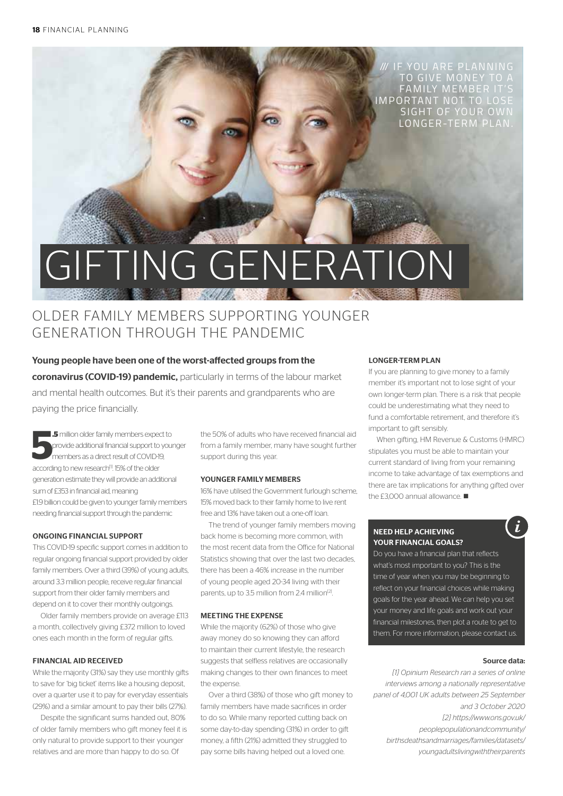/// IF YOU ARE PLANNING TO GIVE MONEY TO A FAMILY MEMBER IT'S IMPORTANT NOT TO LOSE SIGHT OF YOUR OWI LONGER-TERM PLAN.

# **GIFTING GENERATION Contract Contract Contract Contract Contract Contract Contract Contract Contract Contract Contract Contract Contract Contract Contract Contract Contract Contract Contract Contract Contract Contract Contract Contract Contr**

# OLDER FAMILY MEMBERS SUPPORTING YOUNGER GENERATION THROUGH THE PANDEMIC

Young people have been one of the worst-affected groups from the coronavirus (COVID-19) pandemic, particularly in terms of the labour market and mental health outcomes. But it's their parents and grandparents who are paying the price financially.

**5** million older family members expected provide additional financial support to members as a direct result of COVID-19 according to new research<sup>11</sup>. 15% of the older **.5** million older family members expect to provide additional financial support to younger members as a direct result of COVID-19, generation estimate they will provide an additional sum of £353 in financial aid, meaning £1.9 billion could be given to younger family members needing financial support through the pandemic

# ONGOING FINANCIAL SUPPORT

This COVID-19 specific support comes in addition to regular ongoing financial support provided by older family members. Over a third (39%) of young adults, around 3.3 million people, receive regular financial support from their older family members and depend on it to cover their monthly outgoings.

Older family members provide on average £113 a month, collectively giving £372 million to loved ones each month in the form of regular gifts.

# FINANCIAL AID RECEIVED

While the majority (31%) say they use monthly gifts to save for 'big ticket' items like a housing deposit, over a quarter use it to pay for everyday essentials (29%) and a similar amount to pay their bills (27%).

Despite the significant sums handed out, 80% of older family members who gift money feel it is only natural to provide support to their younger relatives and are more than happy to do so. Of

the 50% of adults who have received financial aid from a family member, many have sought further support during this year.

### YOUNGER FAMILY MEMBERS

16% have utilised the Government furlough scheme, 15% moved back to their family home to live rent free and 13% have taken out a one-off loan.

The trend of younger family members moving back home is becoming more common, with the most recent data from the Office for National Statistics showing that over the last two decades, there has been a 46% increase in the number of young people aged 20-34 living with their parents, up to 3.5 million from 2.4 million<sup>[2]</sup>.

### MEETING THE EXPENSE

While the majority (62%) of those who give away money do so knowing they can afford to maintain their current lifestyle, the research suggests that selfless relatives are occasionally making changes to their own finances to meet the expense.

Over a third (38%) of those who gift money to family members have made sacrifices in order to do so. While many reported cutting back on some day-to-day spending (31%) in order to gift money, a fifth (21%) admitted they struggled to pay some bills having helped out a loved one.

## LONGER-TERM PLAN

If you are planning to give money to a family member it's important not to lose sight of your own longer-term plan. There is a risk that people could be underestimating what they need to fund a comfortable retirement, and therefore it's important to gift sensibly.

When gifting, HM Revenue & Customs (HMRC) stipulates you must be able to maintain your current standard of living from your remaining income to take advantage of tax exemptions and there are tax implications for anything gifted over the £3,000 annual allowance.  $\blacksquare$ 

# NEED HELP ACHIEVING YOUR FINANCIAL GOALS?

Do you have a financial plan that reflects what's most important to you? This is the time of year when you may be beginning to reflect on your financial choices while making goals for the year ahead. We can help you set your money and life goals and work out your financial milestones, then plot a route to get to them. For more information, please contact us.

# Source data:

*[1] Opinium Research ran a series of online interviews among a nationally representative panel of 4,001 UK adults between 25 September and 3 October 2020 [2] https://www.ons.gov.uk/ peoplepopulationandcommunity/ birthsdeathsandmarriages/families/datasets/ youngadultslivingwiththeirparents*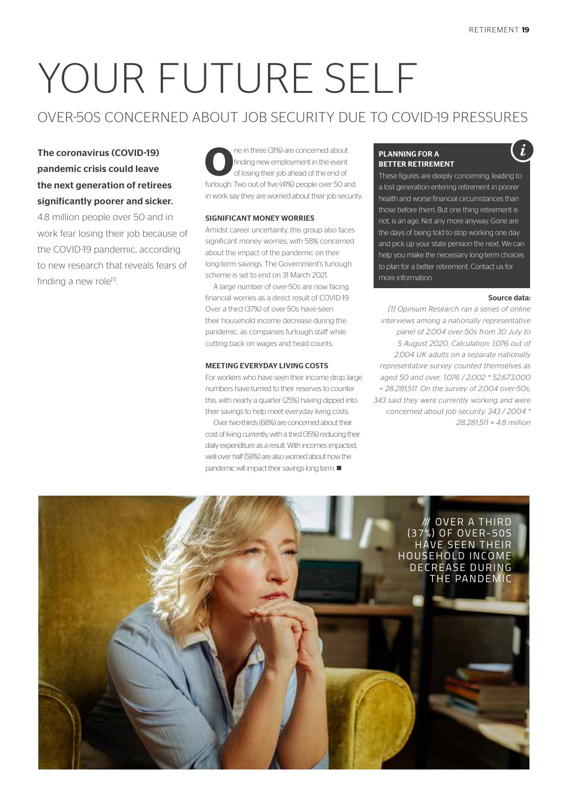# YOUR FUTURE SELF

# OVER-50S CONCERNED ABOUT JOB SECURITY DUE TO COVID-19 PRESSURES

# The coronavirus (COVID-19) pandemic crisis could leave the next generation of retirees significantly poorer and sicker.

4.8 million people over 50 and in work fear losing their job because of the COVID-19 pandemic, according to new research that reveals fears of finding a new role $^{[1]}$ .

**O**ne in three (31%) are concerned about finding new employment in the event of losing their job ahead of the end of furlough. Two out of five (41%) people over 50 and in work say they are worried about their job security.

# SIGNIFICANT MONEY WORRIES

Amidst career uncertainty, this group also faces significant money worries, with 58% concerned about the impact of the pandemic on their long-term savings. The Government's furlough scheme is set to end on 31 March 2021.

A large number of over-50s are now facing financial worries as a direct result of COVID-19. Over a third (37%) of over-50s have seen their household income decrease during the pandemic, as companies furlough staff while cutting back on wages and head counts.

### MEETING EVERYDAY LIVING COSTS

For workers who have seen their income drop, large numbers have turned to their reserves to counter this, with nearly a quarter (25%) having dipped into their savings to help meet everyday living costs.

Over two-thirds (68%) are concerned about their cost of living currently, with a third (35%) reducing their daily expenditure as a result. With incomes impacted, well over half (58%) are also worried about how the pandemic will impact their savings long term.  $\blacksquare$ 

# PLANNING FOR A BETTER RETIREMENT

These figures are deeply concerning, leading to a lost generation entering retirement in poorer health and worse financial circumstances than those before them. But one thing retirement is not, is an age. Not any more anyway. Gone are the days of being told to stop working one day and pick up your state pension the next. We can help you make the necessary long-term choices to plan for a better retirement. Contact us for more information.

## Source data:

*[1] Opinium Research ran a series of online interviews among a nationally representative panel of 2,004 over-50s from 30 July to 5 August 2020. Calculation: 1,076 out of 2,004 UK adults on a separate nationally representative survey counted themselves as aged 50 and over. 1,076 / 2,002 \* 52,673,000 = 28,281,511. On the survey of 2,004 over-50s, 343 said they were currently working and were concerned about job security. 343 / 2004 \* 28,281,511 = 4.8 million*

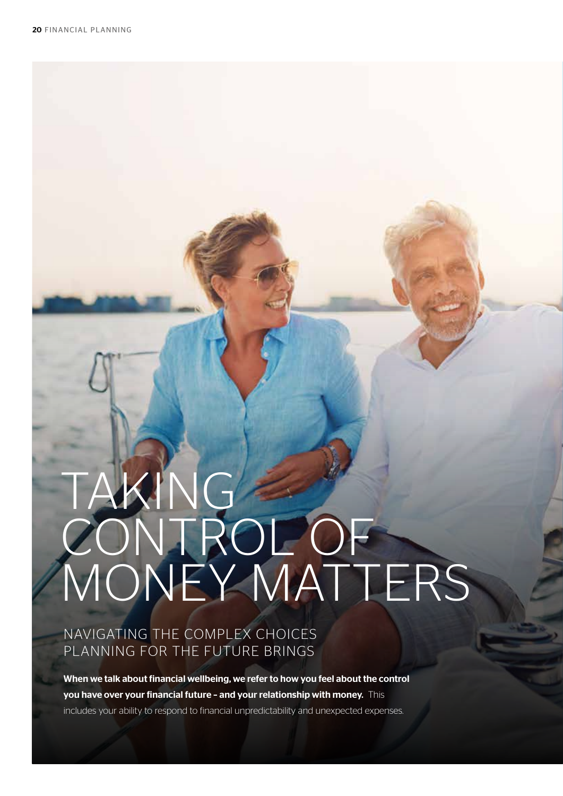# TAKING CONTROL OF MONEY MATTERS

# NAVIGATING THE COMPLEX CHOICES PLANNING FOR THE FUTURE BRINGS

When we talk about financial wellbeing, we refer to how you feel about the control you have over your financial future – and your relationship with money. This includes your ability to respond to financial unpredictability and unexpected expenses.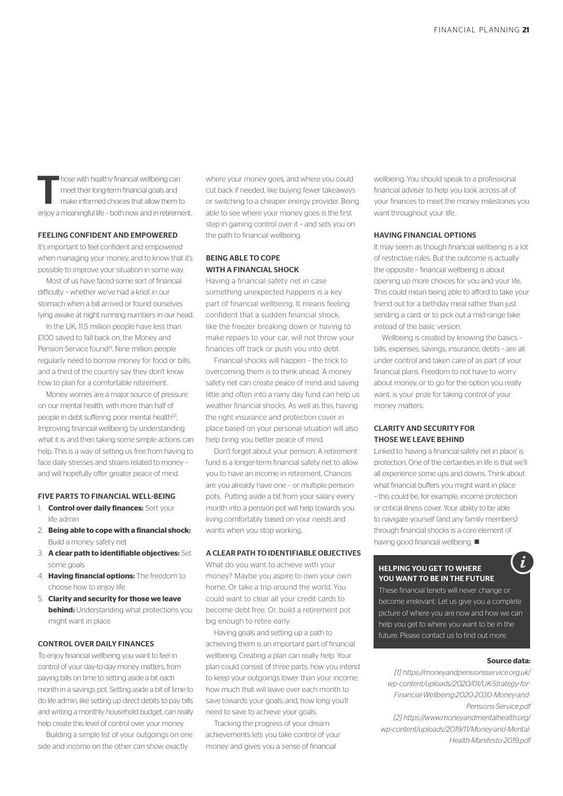Those with healthy financial wellbeing can<br>meet their long-term financial goals and<br>make informed choices that allow them to meet their long-term financial goals and make informed choices that allow them to enjoy a meaningful life – both now and in retirement.

# FEELING CONFIDENT AND EMPOWERED

It's important to feel confident and empowered when managing your money, and to know that it's possible to improve your situation in some way.

Most of us have faced some sort of financial difficulty – whether we've had a knot in our stomach when a bill arrived or found ourselves lying awake at night running numbers in our head.

In the UK, 11.5 million people have less than £100 saved to fall back on, the Money and Pension Service found<sup>[1]</sup>. Nine million people. regularly need to borrow money for food or bills, and a third of the country say they don't know how to plan for a comfortable retirement.

Money worries are a major source of pressure on our mental health, with more than half of people in debt suffering poor mental health<sup>[2]</sup>. Improving financial wellbeing by understanding what it is and then taking some simple actions can help. This is a way of setting us free from having to face daily stresses and strains related to money – and will hopefully offer greater peace of mind.

### FIVE PARTS TO FINANCIAL WELL-BEING

- 1. **Control over daily finances:** Sort your life admin
- 2. **Being able to cope with a financial shock:**  Build a money safety net
- 3. **A clear path to identifiable objectives:** Set some goals
- 4. **Having financial options:** The freedom to choose how to enjoy life
- 5. **Clarity and security for those we leave behind:** Understanding what protections you might want in place

### CONTROL OVER DAILY FINANCES

To enjoy financial wellbeing you want to feel in control of your day-to-day money matters, from paying bills on time to setting aside a bit each month in a savings pot. Setting aside a bit of time to do life admin, like setting up direct debits to pay bills and writing a monthly household budget, can really help create this level of control over your money.

Building a simple list of your outgoings on one side and income on the other can show exactly

where your money goes, and where you could cut back if needed, like buying fewer takeaways or switching to a cheaper energy provider. Being able to see where your money goes is the first step in gaining control over it – and sets you on the path to financial wellbeing.

# BEING ABLE TO COPE WITH A FINANCIAL SHOCK

Having a financial safety net in case something unexpected happens is a key part of financial wellbeing. It means feeling confident that a sudden financial shock, like the freezer breaking down or having to make repairs to your car, will not throw your finances off track or push you into debt.

Financial shocks will happen – the trick to overcoming them is to think ahead. A money safety net can create peace of mind and saving little and often into a rainy day fund can help us weather financial shocks. As well as this, having the right insurance and protection cover in place based on your personal situation will also help bring you better peace of mind.

Don't forget about your pension. A retirement fund is a longer-term financial safety net to allow you to have an income in retirement. Chances are you already have one – or multiple pension pots. Putting aside a bit from your salary every month into a pension pot will help towards you living comfortably based on your needs and wants when you stop working.

## A CLEAR PATH TO IDENTIFIABLE OBJECTIVES

What do you want to achieve with your money? Maybe you aspire to own your own home. Or take a trip around the world. You could want to clear all your credit cards to become debt free. Or, build a retirement pot big enough to retire early.

Having goals and setting up a path to achieving them is an important part of financial wellbeing. Creating a plan can really help. Your plan could consist of three parts: how you intend to keep your outgoings lower than your income; how much that will leave over each month to save towards your goals; and, how long you'll need to save to achieve your goals.

Tracking the progress of your dream achievements lets you take control of your money and gives you a sense of financial

wellbeing. You should speak to a professional financial adviser to help you look across all of your finances to meet the money milestones you want throughout your life.

## HAVING FINANCIAL OPTIONS

It may seem as though financial wellbeing is a lot of restrictive rules. But the outcome is actually the opposite – financial wellbeing is about opening up more choices for you and your life. This could mean being able to afford to take your friend out for a birthday meal rather than just sending a card, or to pick out a mid-range bike instead of the basic version.

Wellbeing is created by knowing the basics – bills, expenses, savings, insurance, debts – are all under control and taken care of as part of your financial plans. Freedom to not have to worry about money, or to go for the option you really want, is your prize for taking control of your money matters.

# CLARITY AND SECURITY FOR THOSE WE LEAVE BEHIND

Linked to 'having a financial safety net in place' is protection. One of the certainties in life is that we'll all experience some ups and downs. Think about what financial buffers you might want in place – this could be, for example, income protection or critical illness cover. Your ability to be able to navigate yourself (and any family members) through financial shocks is a core element of having good financial wellbeing.  $\blacksquare$ 

# HELPING YOU GET TO WHERE YOU WANT TO BE IN THE FUTURE

These financial tenets will never change or become irrelevant. Let us give you a complete picture of where you are now and how we can help you get to where you want to be in the future. Please contact us to find out more.

# **Source data:**

ì.

*[1] https://moneyandpensionsservice.org.uk/ wp-content/uploads/2020/01/UK-Strategy-for-Financial-Wellbeing-2020-2030-Money-and-Pensions-Service.pdf*

*[2] https://www.moneyandmentalhealth.org/ wp-content/uploads/2019/11/Money-and-Mental-Health-Manifesto-2019.pdf*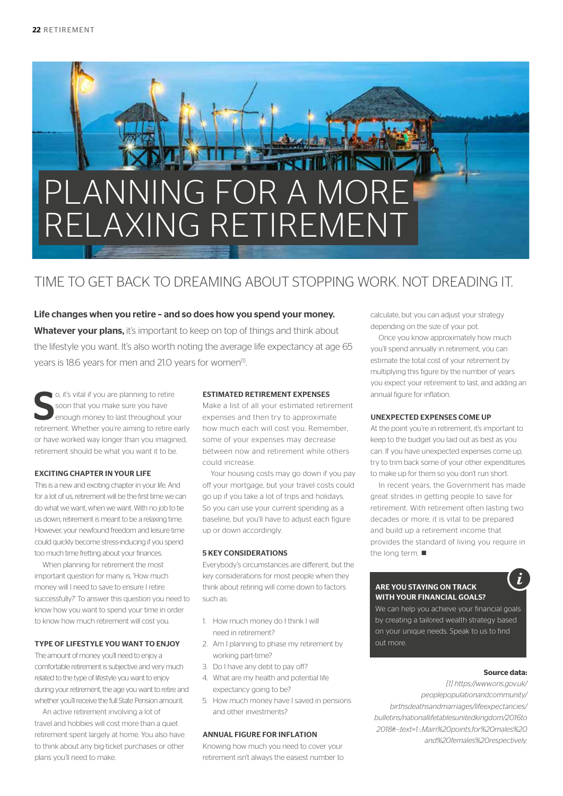

# TIME TO GET BACK TO DREAMING ABOUT STOPPING WORK. NOT DREADING IT.

Life changes when you retire – and so does how you spend your money. Whatever your plans, it's important to keep on top of things and think about the lifestyle you want. It's also worth noting the average life expectancy at age 65 years is 18.6 years for men and 21.0 years for women<sup>[1]</sup>.

**S** o, it's vital if you are planning to retire<br>soon that you make sure you have<br>enough money to last throughout your<br>retirement. Whether you're aiming to retire early o, it's vital if you are planning to retire soon that you make sure you have enough money to last throughout your or have worked way longer than you imagined, retirement should be what you want it to be.

# EXCITING CHAPTER IN YOUR LIFE

This is a new and exciting chapter in your life. And for a lot of us, retirement will be the first time we can do what we want, when we want. With no job to tie us down, retirement is meant to be a relaxing time. However, your newfound freedom and leisure time could quickly become stress-inducing if you spend too much time fretting about your finances.

When planning for retirement the most important question for many is, 'How much money will I need to save to ensure I retire successfully?' To answer this question you need to know how you want to spend your time in order to know how much retirement will cost you.

# TYPE OF LIFESTYLE YOU WANT TO ENJOY

The amount of money you'll need to enjoy a comfortable retirement is subjective and very much related to the type of lifestyle you want to enjoy during your retirement, the age you want to retire and whether you'll receive the full State Pension amount.

An active retirement involving a lot of travel and hobbies will cost more than a quiet retirement spent largely at home. You also have to think about any big-ticket purchases or other plans you'll need to make.

# ESTIMATED RETIREMENT EXPENSES

Make a list of all your estimated retirement expenses and then try to approximate how much each will cost you. Remember, some of your expenses may decrease between now and retirement while others could increase.

Your housing costs may go down if you pay off your mortgage, but your travel costs could go up if you take a lot of trips and holidays. So you can use your current spending as a baseline, but you'll have to adjust each figure up or down accordingly.

# 5 KEY CONSIDERATIONS

Everybody's circumstances are different, but the key considerations for most people when they think about retiring will come down to factors such as:

- 1. How much money do I think I will need in retirement?
- 2. Am I planning to phase my retirement by working part-time?
- 3. Do I have any debt to pay off?
- 4. What are my health and potential life expectancy going to be?
- 5. How much money have I saved in pensions and other investments?

# ANNUAL FIGURE FOR INFLATION

Knowing how much you need to cover your retirement isn't always the easiest number to calculate, but you can adjust your strategy depending on the size of your pot.

Once you know approximately how much you'll spend annually in retirement, you can estimate the total cost of your retirement by multiplying this figure by the number of years you expect your retirement to last, and adding an annual figure for inflation.

### UNEXPECTED EXPENSES COME UP

At the point you're in retirement, it's important to keep to the budget you laid out as best as you can. If you have unexpected expenses come up, try to trim back some of your other expenditures to make up for them so you don't run short.

In recent years, the Government has made great strides in getting people to save for retirement. With retirement often lasting two decades or more, it is vital to be prepared and build up a retirement income that provides the standard of living you require in the long term.  $\blacksquare$ 

# ARE YOU STAYING ON TRACK WITH YOUR FINANCIAL GOALS?

i.

We can help you achieve your financial goals by creating a tailored wealth strategy based on your unique needs. Speak to us to find out more.

## **Source data:**

*[1] https://www.ons.gov.uk/ peoplepopulationandcommunity/ birthsdeathsandmarriages/lifeexpectancies/ bulletins/nationallifetablesunitedkingdom/2016to 2018#:~:text=1.-,Main%20points,for%20males%20 and%20females%20respectively.*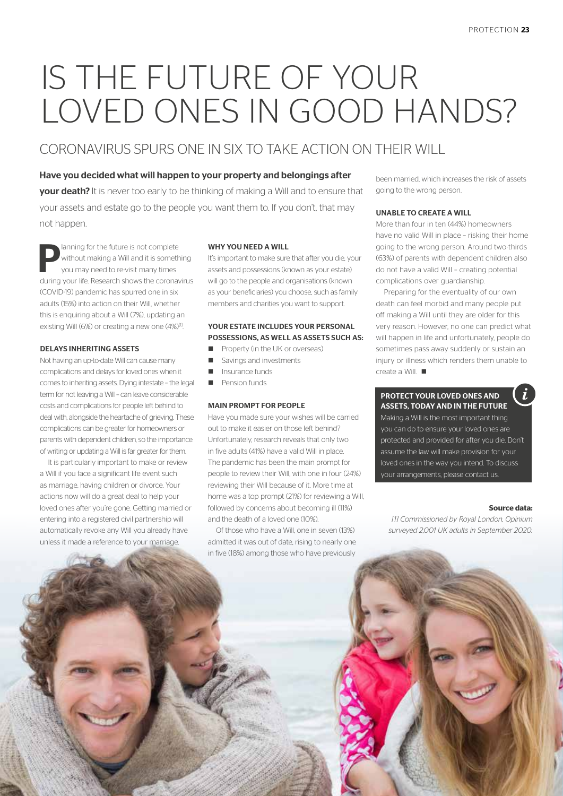# IS THE FUTURE OF YOUR LOVED ONES IN GOOD HANDS?

# CORONAVIRUS SPURS ONE IN SIX TO TAKE ACTION ON THEIR WILL

# Have you decided what will happen to your property and belongings after

**your death?** It is never too early to be thinking of making a Will and to ensure that your assets and estate go to the people you want them to. If you don't, that may not happen.

lanning for the future is not complete without making a Will and it is something you may need to re-visit many times during your life. Research shows the coronavirus (COVID-19) pandemic has spurred one in six adults (15%) into action on their Will, whether this is enquiring about a Will (7%), updating an existing Will (6%) or creating a new one (4%)<sup>[1]</sup>.

# DELAYS INHERITING ASSETS

Not having an up-to-date Will can cause many complications and delays for loved ones when it comes to inheriting assets. Dying intestate – the legal term for not leaving a Will – can leave considerable costs and complications for people left behind to deal with, alongside the heartache of grieving. These complications can be greater for homeowners or parents with dependent children, so the importance of writing or updating a Will is far greater for them.

It is particularly important to make or review a Will if you face a significant life event such as marriage, having children or divorce. Your actions now will do a great deal to help your loved ones after you're gone. Getting married or entering into a registered civil partnership will automatically revoke any Will you already have unless it made a reference to your marriage.

## WHY YOU NEED A WILL

It's important to make sure that after you die, your assets and possessions (known as your estate) will go to the people and organisations (known as your beneficiaries) you choose, such as family members and charities you want to support.

# YOUR ESTATE INCLUDES YOUR PERSONAL POSSESSIONS, AS WELL AS ASSETS SUCH AS:

- **n** Property (in the UK or overseas)
- s Savings and investments
- Insurance funds
- Pension funds

## MAIN PROMPT FOR PEOPLE

Have you made sure your wishes will be carried out to make it easier on those left behind? Unfortunately, research reveals that only two in five adults (41%) have a valid Will in place. The pandemic has been the main prompt for people to review their Will, with one in four (24%) reviewing their Will because of it. More time at home was a top prompt (21%) for reviewing a Will, followed by concerns about becoming ill (11%) and the death of a loved one (10%).

Of those who have a Will, one in seven (13%) admitted it was out of date, rising to nearly one in five (18%) among those who have previously

been married, which increases the risk of assets going to the wrong person.

## UNABLE TO CREATE A WILL

More than four in ten (44%) homeowners have no valid Will in place – risking their home going to the wrong person. Around two-thirds (63%) of parents with dependent children also do not have a valid Will – creating potential complications over guardianship.

Preparing for the eventuality of our own death can feel morbid and many people put off making a Will until they are older for this very reason. However, no one can predict what will happen in life and unfortunately, people do sometimes pass away suddenly or sustain an injury or illness which renders them unable to create a Will.  $\blacksquare$ 

# PROTECT YOUR LOVED ONES AND ASSETS, TODAY AND IN THE FUTURE

Making a Will is the most important thing you can do to ensure your loved ones are protected and provided for after you die. Don't assume the law will make provision for your loved ones in the way you intend. To discuss your arrangements, please contact us.

## **Source data:**

*[1] Commissioned by Royal London, Opinium surveyed 2,001 UK adults in September 2020.*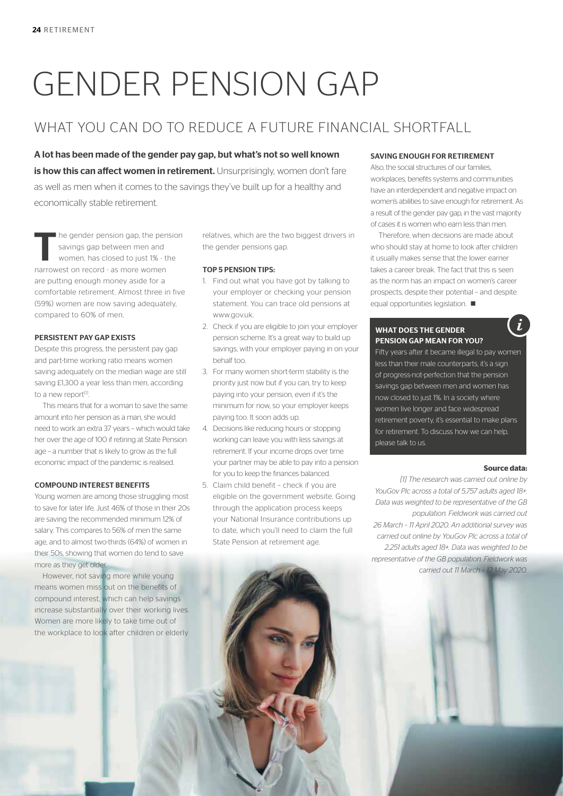# GENDER PENSION GAP

# WHAT YOU CAN DO TO REDUCE A FUTURE FINANCIAL SHORTFALL

A lot has been made of the gender pay gap, but what's not so well known is how this can affect women in retirement. Unsurprisingly, women don't fare as well as men when it comes to the savings they've built up for a healthy and economically stable retirement.

I he gender pension gap, the pension savings gap between men and women, has closed to just 1% - the narrowest on record - as more women are putting enough money aside for a comfortable retirement. Almost three in five (59%) women are now saving adequately, compared to 60% of men.

# PERSISTENT PAY GAP EXISTS

Despite this progress, the persistent pay gap and part-time working ratio means women saving adequately on the median wage are still saving £1,300 a year less than men, according to a new report<sup>[1]</sup>.

This means that for a woman to save the same amount into her pension as a man, she would need to work an extra 37 years – which would take her over the age of 100 if retiring at State Pension age – a number that is likely to grow as the full economic impact of the pandemic is realised.

# COMPOUND INTEREST BENEFITS

Young women are among those struggling most to save for later life. Just 46% of those in their 20s are saving the recommended minimum 12% of salary. This compares to 56% of men the same age, and to almost two-thirds (64%) of women in their 50s, showing that women do tend to save more as they get older.

However, not saving more while young means women miss out on the benefits of compound interest, which can help savings increase substantially over their working lives. Women are more likely to take time out of the workplace to look after children or elderly relatives, which are the two biggest drivers in the gender pensions gap.

# TOP 5 PENSION TIPS:

- 1. Find out what you have got by talking to your employer or checking your pension statement. You can trace old pensions at www.gov.uk.
- 2. Check if you are eligible to join your employer pension scheme. It's a great way to build up savings, with your employer paying in on your behalf too.
- 3. For many women short-term stability is the priority just now but if you can, try to keep paying into your pension, even if it's the minimum for now, so your employer keeps paying too. It soon adds up.
- 4. Decisions like reducing hours or stopping working can leave you with less savings at retirement. If your income drops over time your partner may be able to pay into a pension for you to keep the finances balanced.
- 5. Claim child benefit check if you are eligible on the government website. Going through the application process keeps your National Insurance contributions up to date, which you'll need to claim the full State Pension at retirement age.

## SAVING ENOUGH FOR RETIREMENT

Also, the social structures of our families, workplaces, benefits systems and communities have an interdependent and negative impact on women's abilities to save enough for retirement. As a result of the gender pay gap, in the vast majority of cases it is women who earn less than men.

Therefore, when decisions are made about who should stay at home to look after children it usually makes sense that the lower earner takes a career break. The fact that this is seen as the norm has an impact on women's career prospects, despite their potential – and despite equal opportunities legislation.  $\blacksquare$ 

# WHAT DOES THE GENDER PENSION GAP MEAN FOR YOU?

Fifty years after it became illegal to pay women less than their male counterparts, it's a sign of progress-not-perfection that the pension savings gap between men and women has now closed to just 1%. In a society where women live longer and face widespread retirement poverty, it's essential to make plans for retirement. To discuss how we can help, please talk to us.

### **Source data:**

i

*[1] The research was carried out online by YouGov Plc across a total of 5,757 adults aged 18+. Data was weighted to be representative of the GB population. Fieldwork was carried out 26 March – 11 April 2020. An additional survey was carried out online by YouGov Plc across a total of 2,251 adults aged 18+. Data was weighted to be representative of the GB population. Fieldwork was carried out 11 March – 12 May 2020.*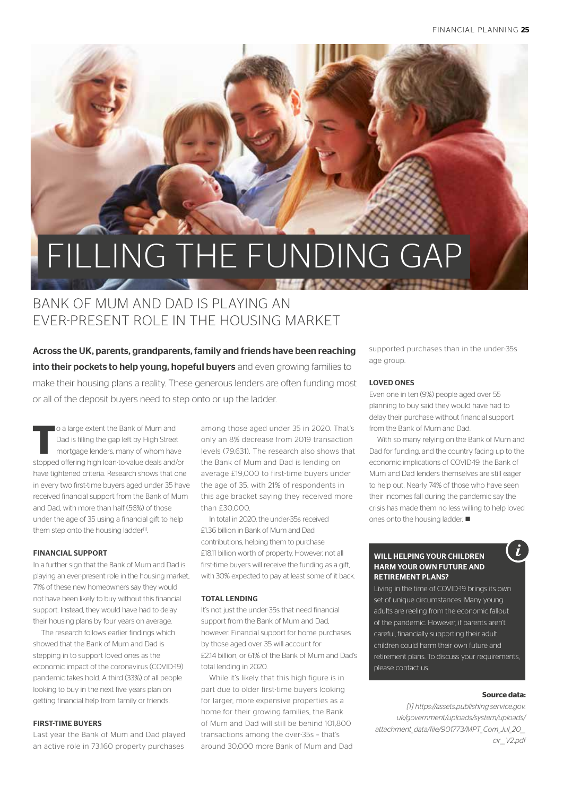# FILLING THE FUNDING GAP

# BANK OF MUM AND DAD IS PLAYING AN EVER-PRESENT ROLE IN THE HOUSING MARKET

Across the UK, parents, grandparents, family and friends have been reaching into their pockets to help young, hopeful buyers and even growing families to make their housing plans a reality. These generous lenders are often funding most or all of the deposit buyers need to step onto or up the ladder.

**The a** large extent the Bank of Mum and<br>Dad is filling the gap left by High Street<br>mortgage lenders, many of whom have Dad is filling the gap left by High Street mortgage lenders, many of whom have stopped offering high loan-to-value deals and/or have tightened criteria. Research shows that one in every two first-time buyers aged under 35 have received financial support from the Bank of Mum and Dad, with more than half (56%) of those under the age of 35 using a financial gift to help them step onto the housing ladder<sup>[1]</sup>.

## FINANCIAL SUPPORT

In a further sign that the Bank of Mum and Dad is playing an ever-present role in the housing market, 71% of these new homeowners say they would not have been likely to buy without this financial support. Instead, they would have had to delay their housing plans by four years on average.

The research follows earlier findings which showed that the Bank of Mum and Dad is stepping in to support loved ones as the economic impact of the coronavirus (COVID-19) pandemic takes hold. A third (33%) of all people looking to buy in the next five years plan on getting financial help from family or friends.

# FIRST-TIME BUYERS

Last year the Bank of Mum and Dad played an active role in 73,160 property purchases

among those aged under 35 in 2020. That's only an 8% decrease from 2019 transaction levels (79,631). The research also shows that the Bank of Mum and Dad is lending on average £19,000 to first-time buyers under the age of 35, with 21% of respondents in this age bracket saying they received more than £30,000.

In total in 2020, the under-35s received £1.36 billion in Bank of Mum and Dad contributions, helping them to purchase £18.11 billion worth of property. However, not all first-time buyers will receive the funding as a gift, with 30% expected to pay at least some of it back.

# TOTAL LENDING

It's not just the under-35s that need financial support from the Bank of Mum and Dad, however. Financial support for home purchases by those aged over 35 will account for £2.14 billion, or 61% of the Bank of Mum and Dad's total lending in 2020.

While it's likely that this high figure is in part due to older first-time buyers looking for larger, more expensive properties as a home for their growing families, the Bank of Mum and Dad will still be behind 101,800 transactions among the over-35s – that's around 30,000 more Bank of Mum and Dad supported purchases than in the under-35s age group.

# LOVED ONES

Even one in ten (9%) people aged over 55 planning to buy said they would have had to delay their purchase without financial support from the Bank of Mum and Dad.

With so many relying on the Bank of Mum and Dad for funding, and the country facing up to the economic implications of COVID-19, the Bank of Mum and Dad lenders themselves are still eager to help out. Nearly 74% of those who have seen their incomes fall during the pandemic say the crisis has made them no less willing to help loved ones onto the housing ladder.  $\blacksquare$ 

# WILL HELPING YOUR CHILDREN HARM YOUR OWN FUTURE AND RETIREMENT PLANS?

Living in the time of COVID-19 brings its own set of unique circumstances. Many young adults are reeling from the economic fallout of the pandemic. However, if parents aren't careful, financially supporting their adult children could harm their own future and retirement plans. To discuss your requirements, please contact us.

### **Source data:**

*[1] https://assets.publishing.service.gov. uk/government/uploads/system/uploads/ attachment\_data/file/901773/MPT\_Com\_Jul\_20\_\_ cir\_\_V2.pdf*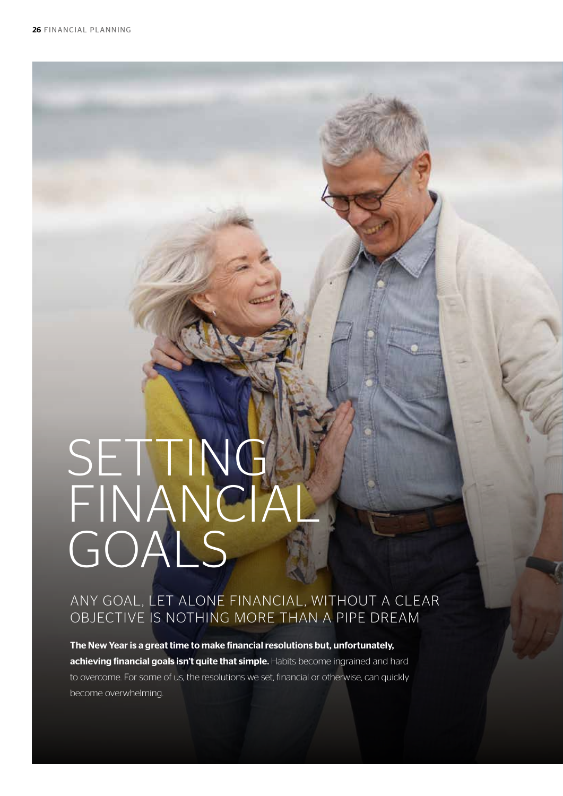# SETTING FINANCIAL GOALS

# ANY GOAL, LET ALONE FINANCIAL, WITHOUT A CLEAR OBJECTIVE IS NOTHING MORE THAN A PIPE DREAM

The New Year is a great time to make financial resolutions but, unfortunately, achieving financial goals isn't quite that simple. Habits become ingrained and hard to overcome. For some of us, the resolutions we set, financial or otherwise, can quickly become overwhelming.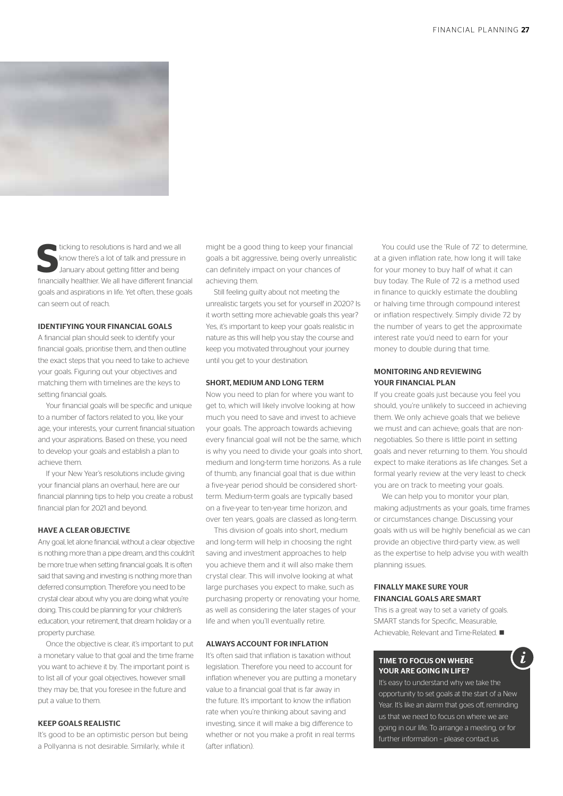

**S** ticking to resolutions is hard and we all know there's a lot of talk and pressure in January about getting fitter and being financially healthier. We all have different financial goals and aspirations in life. Yet often, these goals can seem out of reach.

### IDENTIFYING YOUR FINANCIAL GOALS

A financial plan should seek to identify your financial goals, prioritise them, and then outline the exact steps that you need to take to achieve your goals. Figuring out your objectives and matching them with timelines are the keys to setting financial goals.

Your financial goals will be specific and unique to a number of factors related to you, like your age, your interests, your current financial situation and your aspirations. Based on these, you need to develop your goals and establish a plan to achieve them.

If your New Year's resolutions include giving your financial plans an overhaul, here are our financial planning tips to help you create a robust financial plan for 2021 and beyond.

### HAVE A CLEAR OBJECTIVE

Any goal, let alone financial, without a clear objective is nothing more than a pipe dream, and this couldn't be more true when setting financial goals. It is often said that saving and investing is nothing more than deferred consumption. Therefore you need to be crystal clear about why you are doing what you're doing. This could be planning for your children's education, your retirement, that dream holiday or a property purchase.

Once the objective is clear, it's important to put a monetary value to that goal and the time frame you want to achieve it by. The important point is to list all of your goal objectives, however small they may be, that you foresee in the future and put a value to them.

# KEEP GOALS REALISTIC

It's good to be an optimistic person but being a Pollyanna is not desirable. Similarly, while it

might be a good thing to keep your financial goals a bit aggressive, being overly unrealistic can definitely impact on your chances of achieving them.

Still feeling guilty about not meeting the unrealistic targets you set for yourself in 2020? Is it worth setting more achievable goals this year? Yes, it's important to keep your goals realistic in nature as this will help you stay the course and keep you motivated throughout your journey until you get to your destination.

### SHORT, MEDIUM AND LONG TERM

Now you need to plan for where you want to get to, which will likely involve looking at how much you need to save and invest to achieve your goals. The approach towards achieving every financial goal will not be the same, which is why you need to divide your goals into short, medium and long-term time horizons. As a rule of thumb, any financial goal that is due within a five-year period should be considered shortterm. Medium-term goals are typically based on a five-year to ten-year time horizon, and over ten years, goals are classed as long-term.

This division of goals into short, medium and long-term will help in choosing the right saving and investment approaches to help you achieve them and it will also make them crystal clear. This will involve looking at what large purchases you expect to make, such as purchasing property or renovating your home, as well as considering the later stages of your life and when you'll eventually retire.

### ALWAYS ACCOUNT FOR INFLATION

It's often said that inflation is taxation without legislation. Therefore you need to account for inflation whenever you are putting a monetary value to a financial goal that is far away in the future. It's important to know the inflation rate when you're thinking about saving and investing, since it will make a big difference to whether or not you make a profit in real terms (after inflation).

You could use the 'Rule of 72' to determine, at a given inflation rate, how long it will take for your money to buy half of what it can buy today. The Rule of 72 is a method used in finance to quickly estimate the doubling or halving time through compound interest or inflation respectively. Simply divide 72 by the number of years to get the approximate interest rate you'd need to earn for your money to double during that time.

# MONITORING AND REVIEWING YOUR FINANCIAL PLAN

If you create goals just because you feel you should, you're unlikely to succeed in achieving them. We only achieve goals that we believe we must and can achieve; goals that are nonnegotiables. So there is little point in setting goals and never returning to them. You should expect to make iterations as life changes. Set a formal yearly review at the very least to check you are on track to meeting your goals.

We can help you to monitor your plan, making adjustments as your goals, time frames or circumstances change. Discussing your goals with us will be highly beneficial as we can provide an objective third-party view, as well as the expertise to help advise you with wealth planning issues.

# FINALLY MAKE SURE YOUR FINANCIAL GOALS ARE SMART

This is a great way to set a variety of goals. SMART stands for Specific, Measurable, Achievable, Relevant and Time-Related.

# TIME TO FOCUS ON WHERE YOUR ARE GOING IN LIFE?

It's easy to understand why we take the opportunity to set goals at the start of a New Year. It's like an alarm that goes off, reminding us that we need to focus on where we are going in our life. To arrange a meeting, or for further information – please contact us.

i.